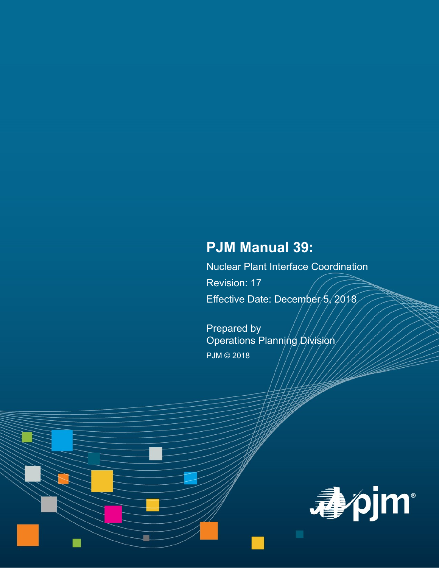# **PJM Manual 39:**

Nuclear Plant Interface Coordination Revision: 17 Effective Date: December/5, 2018

Prepared by Operations Planning Division PJM © 2018

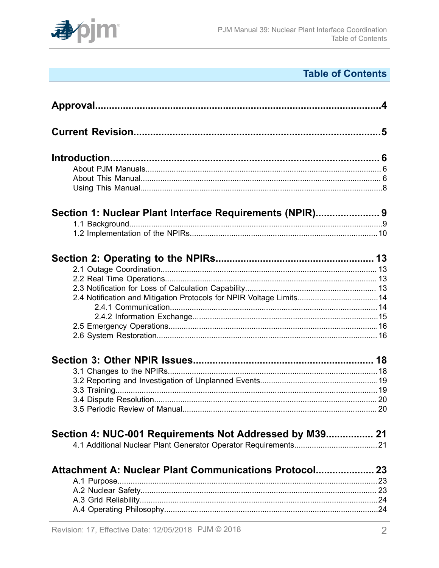

## **Table of Contents**

|                                                                     | $\mathbf{A}$ |
|---------------------------------------------------------------------|--------------|
|                                                                     |              |
|                                                                     |              |
|                                                                     |              |
|                                                                     |              |
|                                                                     |              |
|                                                                     |              |
| Section 1: Nuclear Plant Interface Requirements (NPIR) 9            |              |
|                                                                     |              |
|                                                                     |              |
|                                                                     |              |
|                                                                     |              |
|                                                                     |              |
|                                                                     |              |
| 2.4 Notification and Mitigation Protocols for NPIR Voltage Limits14 |              |
|                                                                     |              |
|                                                                     |              |
|                                                                     |              |
|                                                                     |              |
|                                                                     |              |
|                                                                     |              |
|                                                                     |              |
|                                                                     |              |
|                                                                     |              |
|                                                                     |              |
| Section 4: NUC-001 Requirements Not Addressed by M39 21             |              |
|                                                                     |              |
| Attachment A: Nuclear Plant Communications Protocol 23              |              |
|                                                                     | 23           |
|                                                                     |              |
|                                                                     |              |
|                                                                     |              |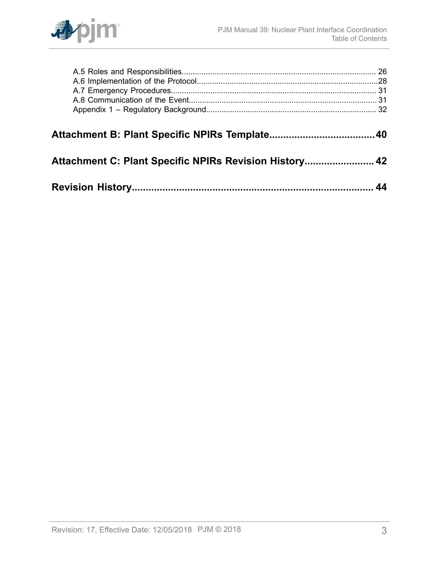

| Attachment C: Plant Specific NPIRs Revision History 42 |  |
|--------------------------------------------------------|--|
|                                                        |  |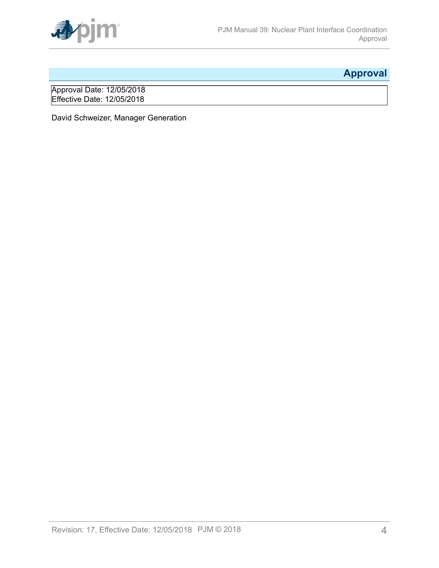

## <span id="page-3-0"></span>**Approval**

Approval Date: 12/05/2018 Effective Date: 12/05/2018

David Schweizer, Manager Generation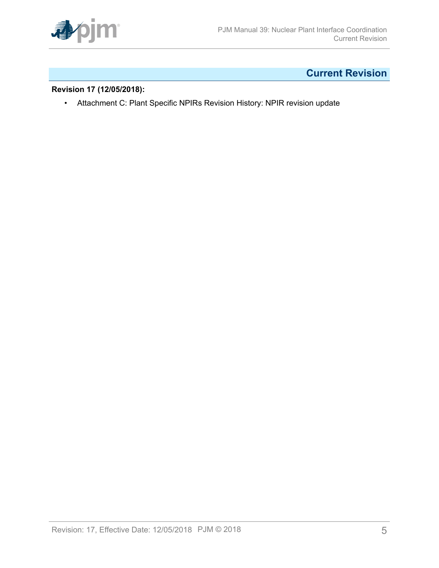

## <span id="page-4-0"></span>**Current Revision**

#### **Revision 17 (12/05/2018):**

• Attachment C: Plant Specific NPIRs Revision History: NPIR revision update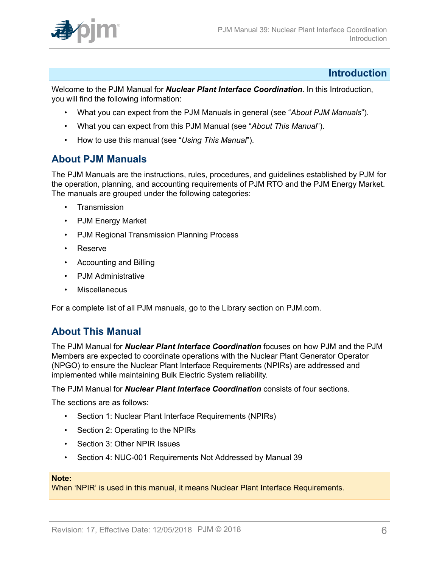

### <span id="page-5-0"></span>**Introduction**

Welcome to the PJM Manual for *Nuclear Plant Interface Coordination*. In this Introduction, you will find the following information:

- What you can expect from the PJM Manuals in general (see "*About PJM Manuals*").
- What you can expect from this PJM Manual (see "*About This Manual*").
- How to use this manual (see "*Using This Manual*").

### <span id="page-5-1"></span>**About PJM Manuals**

The PJM Manuals are the instructions, rules, procedures, and guidelines established by PJM for the operation, planning, and accounting requirements of PJM RTO and the PJM Energy Market. The manuals are grouped under the following categories:

- **Transmission**
- PJM Energy Market
- PJM Regional Transmission Planning Process
- Reserve
- Accounting and Billing
- PJM Administrative
- **Miscellaneous**

For a complete list of all PJM manuals, go to the Library section on PJM.com.

### <span id="page-5-2"></span>**About This Manual**

The PJM Manual for *Nuclear Plant Interface Coordination* focuses on how PJM and the PJM Members are expected to coordinate operations with the Nuclear Plant Generator Operator (NPGO) to ensure the Nuclear Plant Interface Requirements (NPIRs) are addressed and implemented while maintaining Bulk Electric System reliability.

The PJM Manual for *Nuclear Plant Interface Coordination* consists of four sections.

The sections are as follows:

- Section 1: Nuclear Plant Interface Requirements (NPIRs)
- Section 2: Operating to the NPIRs
- Section 3: Other NPIR Issues
- Section 4: NUC-001 Requirements Not Addressed by Manual 39

#### **Note:**

When 'NPIR' is used in this manual, it means Nuclear Plant Interface Requirements.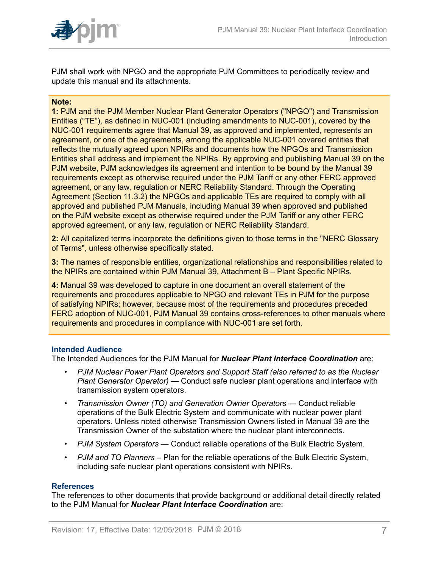

PJM shall work with NPGO and the appropriate PJM Committees to periodically review and update this manual and its attachments.

#### **Note:**

**1:** PJM and the PJM Member Nuclear Plant Generator Operators ("NPGO") and Transmission Entities ("TE"), as defined in NUC-001 (including amendments to NUC-001), covered by the NUC-001 requirements agree that Manual 39, as approved and implemented, represents an agreement, or one of the agreements, among the applicable NUC-001 covered entities that reflects the mutually agreed upon NPIRs and documents how the NPGOs and Transmission Entities shall address and implement the NPIRs. By approving and publishing Manual 39 on the PJM website, PJM acknowledges its agreement and intention to be bound by the Manual 39 requirements except as otherwise required under the PJM Tariff or any other FERC approved agreement, or any law, regulation or NERC Reliability Standard. Through the Operating Agreement (Section 11.3.2) the NPGOs and applicable TEs are required to comply with all approved and published PJM Manuals, including Manual 39 when approved and published on the PJM website except as otherwise required under the PJM Tariff or any other FERC approved agreement, or any law, regulation or NERC Reliability Standard.

**2:** All capitalized terms incorporate the definitions given to those terms in the "NERC Glossary of Terms", unless otherwise specifically stated.

**3:** The names of responsible entities, organizational relationships and responsibilities related to the NPIRs are contained within PJM Manual 39, Attachment B – Plant Specific NPIRs.

**4:** Manual 39 was developed to capture in one document an overall statement of the requirements and procedures applicable to NPGO and relevant TEs in PJM for the purpose of satisfying NPIRs; however, because most of the requirements and procedures preceded FERC adoption of NUC-001, PJM Manual 39 contains cross-references to other manuals where requirements and procedures in compliance with NUC-001 are set forth.

#### **Intended Audience**

The Intended Audiences for the PJM Manual for *Nuclear Plant Interface Coordination* are:

- *PJM Nuclear Power Plant Operators and Support Staff (also referred to as the Nuclear Plant Generator Operator)* — Conduct safe nuclear plant operations and interface with transmission system operators.
- *Transmission Owner (TO) and Generation Owner Operators* Conduct reliable operations of the Bulk Electric System and communicate with nuclear power plant operators. Unless noted otherwise Transmission Owners listed in Manual 39 are the Transmission Owner of the substation where the nuclear plant interconnects.
- *PJM System Operators* Conduct reliable operations of the Bulk Electric System.
- *PJM and TO Planners* Plan for the reliable operations of the Bulk Electric System, including safe nuclear plant operations consistent with NPIRs.

#### **References**

The references to other documents that provide background or additional detail directly related to the PJM Manual for *Nuclear Plant Interface Coordination* are: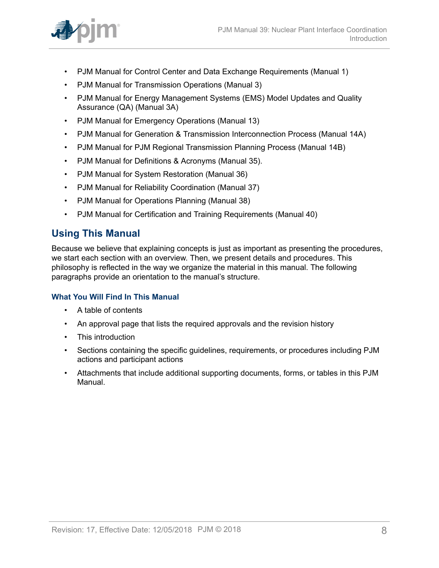

- PJM Manual for Control Center and Data Exchange Requirements (Manual 1)
- PJM Manual for Transmission Operations (Manual 3)
- PJM Manual for Energy Management Systems (EMS) Model Updates and Quality Assurance (QA) (Manual 3A)
- PJM Manual for Emergency Operations (Manual 13)
- PJM Manual for Generation & Transmission Interconnection Process (Manual 14A)
- PJM Manual for PJM Regional Transmission Planning Process (Manual 14B)
- PJM Manual for Definitions & Acronyms (Manual 35).
- PJM Manual for System Restoration (Manual 36)
- PJM Manual for Reliability Coordination (Manual 37)
- PJM Manual for Operations Planning (Manual 38)
- PJM Manual for Certification and Training Requirements (Manual 40)

### <span id="page-7-0"></span>**Using This Manual**

Because we believe that explaining concepts is just as important as presenting the procedures, we start each section with an overview. Then, we present details and procedures. This philosophy is reflected in the way we organize the material in this manual. The following paragraphs provide an orientation to the manual's structure.

#### **What You Will Find In This Manual**

- A table of contents
- An approval page that lists the required approvals and the revision history
- This introduction
- Sections containing the specific guidelines, requirements, or procedures including PJM actions and participant actions
- Attachments that include additional supporting documents, forms, or tables in this PJM Manual.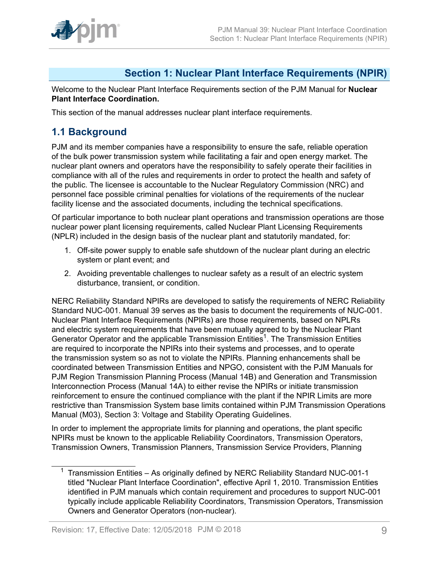

### <span id="page-8-0"></span>**Section 1: Nuclear Plant Interface Requirements (NPIR)**

Welcome to the Nuclear Plant Interface Requirements section of the PJM Manual for **Nuclear Plant Interface Coordination.**

This section of the manual addresses nuclear plant interface requirements.

### <span id="page-8-1"></span>**1.1 Background**

PJM and its member companies have a responsibility to ensure the safe, reliable operation of the bulk power transmission system while facilitating a fair and open energy market. The nuclear plant owners and operators have the responsibility to safely operate their facilities in compliance with all of the rules and requirements in order to protect the health and safety of the public. The licensee is accountable to the Nuclear Regulatory Commission (NRC) and personnel face possible criminal penalties for violations of the requirements of the nuclear facility license and the associated documents, including the technical specifications.

Of particular importance to both nuclear plant operations and transmission operations are those nuclear power plant licensing requirements, called Nuclear Plant Licensing Requirements (NPLR) included in the design basis of the nuclear plant and statutorily mandated, for:

- 1. Off-site power supply to enable safe shutdown of the nuclear plant during an electric system or plant event; and
- 2. Avoiding preventable challenges to nuclear safety as a result of an electric system disturbance, transient, or condition.

NERC Reliability Standard NPIRs are developed to satisfy the requirements of NERC Reliability Standard NUC-001. Manual 39 serves as the basis to document the requirements of NUC-001. Nuclear Plant Interface Requirements (NPIRs) are those requirements, based on NPLRs and electric system requirements that have been mutually agreed to by the Nuclear Plant Generator Operator and the applicable Transmission Entities<sup>1</sup>. The Transmission Entities are required to incorporate the NPIRs into their systems and processes, and to operate the transmission system so as not to violate the NPIRs. Planning enhancements shall be coordinated between Transmission Entities and NPGO, consistent with the PJM Manuals for PJM Region Transmission Planning Process (Manual 14B) and Generation and Transmission Interconnection Process (Manual 14A) to either revise the NPIRs or initiate transmission reinforcement to ensure the continued compliance with the plant if the NPIR Limits are more restrictive than Transmission System base limits contained within PJM Transmission Operations Manual (M03), Section 3: Voltage and Stability Operating Guidelines.

In order to implement the appropriate limits for planning and operations, the plant specific NPIRs must be known to the applicable Reliability Coordinators, Transmission Operators, Transmission Owners, Transmission Planners, Transmission Service Providers, Planning

<sup>&</sup>lt;sup>1</sup> Transmission Entities – As originally defined by NERC Reliability Standard NUC-001-1 titled "Nuclear Plant Interface Coordination", effective April 1, 2010. Transmission Entities identified in PJM manuals which contain requirement and procedures to support NUC-001 typically include applicable Reliability Coordinators, Transmission Operators, Transmission Owners and Generator Operators (non-nuclear).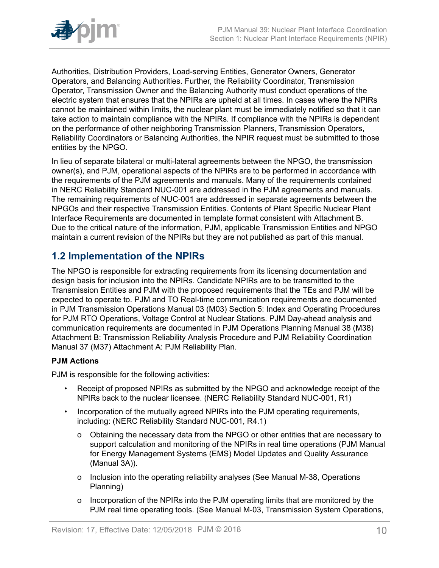

Authorities, Distribution Providers, Load-serving Entities, Generator Owners, Generator Operators, and Balancing Authorities. Further, the Reliability Coordinator, Transmission Operator, Transmission Owner and the Balancing Authority must conduct operations of the electric system that ensures that the NPIRs are upheld at all times. In cases where the NPIRs cannot be maintained within limits, the nuclear plant must be immediately notified so that it can take action to maintain compliance with the NPIRs. If compliance with the NPIRs is dependent on the performance of other neighboring Transmission Planners, Transmission Operators, Reliability Coordinators or Balancing Authorities, the NPIR request must be submitted to those entities by the NPGO.

In lieu of separate bilateral or multi-lateral agreements between the NPGO, the transmission owner(s), and PJM, operational aspects of the NPIRs are to be performed in accordance with the requirements of the PJM agreements and manuals. Many of the requirements contained in NERC Reliability Standard NUC-001 are addressed in the PJM agreements and manuals. The remaining requirements of NUC-001 are addressed in separate agreements between the NPGOs and their respective Transmission Entities. Contents of Plant Specific Nuclear Plant Interface Requirements are documented in template format consistent with Attachment B. Due to the critical nature of the information, PJM, applicable Transmission Entities and NPGO maintain a current revision of the NPIRs but they are not published as part of this manual.

### <span id="page-9-0"></span>**1.2 Implementation of the NPIRs**

The NPGO is responsible for extracting requirements from its licensing documentation and design basis for inclusion into the NPIRs. Candidate NPIRs are to be transmitted to the Transmission Entities and PJM with the proposed requirements that the TEs and PJM will be expected to operate to. PJM and TO Real-time communication requirements are documented in PJM Transmission Operations Manual 03 (M03) Section 5: Index and Operating Procedures for PJM RTO Operations, Voltage Control at Nuclear Stations. PJM Day-ahead analysis and communication requirements are documented in PJM Operations Planning Manual 38 (M38) Attachment B: Transmission Reliability Analysis Procedure and PJM Reliability Coordination Manual 37 (M37) Attachment A: PJM Reliability Plan.

#### **PJM Actions**

PJM is responsible for the following activities:

- Receipt of proposed NPIRs as submitted by the NPGO and acknowledge receipt of the NPIRs back to the nuclear licensee. (NERC Reliability Standard NUC-001, R1)
- Incorporation of the mutually agreed NPIRs into the PJM operating requirements, including: (NERC Reliability Standard NUC-001, R4.1)
	- o Obtaining the necessary data from the NPGO or other entities that are necessary to support calculation and monitoring of the NPIRs in real time operations (PJM Manual for Energy Management Systems (EMS) Model Updates and Quality Assurance (Manual 3A)).
	- o Inclusion into the operating reliability analyses (See Manual M-38, Operations Planning)
	- o Incorporation of the NPIRs into the PJM operating limits that are monitored by the PJM real time operating tools. (See Manual M-03, Transmission System Operations,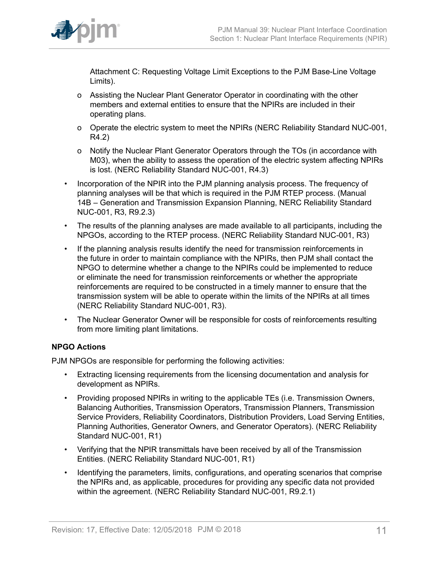

Attachment C: Requesting Voltage Limit Exceptions to the PJM Base-Line Voltage Limits).

- o Assisting the Nuclear Plant Generator Operator in coordinating with the other members and external entities to ensure that the NPIRs are included in their operating plans.
- o Operate the electric system to meet the NPIRs (NERC Reliability Standard NUC-001, R4.2)
- o Notify the Nuclear Plant Generator Operators through the TOs (in accordance with M03), when the ability to assess the operation of the electric system affecting NPIRs is lost. (NERC Reliability Standard NUC-001, R4.3)
- Incorporation of the NPIR into the PJM planning analysis process. The frequency of planning analyses will be that which is required in the PJM RTEP process. (Manual 14B – Generation and Transmission Expansion Planning, NERC Reliability Standard NUC-001, R3, R9.2.3)
- The results of the planning analyses are made available to all participants, including the NPGOs, according to the RTEP process. (NERC Reliability Standard NUC-001, R3)
- If the planning analysis results identify the need for transmission reinforcements in the future in order to maintain compliance with the NPIRs, then PJM shall contact the NPGO to determine whether a change to the NPIRs could be implemented to reduce or eliminate the need for transmission reinforcements or whether the appropriate reinforcements are required to be constructed in a timely manner to ensure that the transmission system will be able to operate within the limits of the NPIRs at all times (NERC Reliability Standard NUC-001, R3).
- The Nuclear Generator Owner will be responsible for costs of reinforcements resulting from more limiting plant limitations.

#### **NPGO Actions**

PJM NPGOs are responsible for performing the following activities:

- Extracting licensing requirements from the licensing documentation and analysis for development as NPIRs.
- Providing proposed NPIRs in writing to the applicable TEs (i.e. Transmission Owners, Balancing Authorities, Transmission Operators, Transmission Planners, Transmission Service Providers, Reliability Coordinators, Distribution Providers, Load Serving Entities, Planning Authorities, Generator Owners, and Generator Operators). (NERC Reliability Standard NUC-001, R1)
- Verifying that the NPIR transmittals have been received by all of the Transmission Entities. (NERC Reliability Standard NUC-001, R1)
- Identifying the parameters, limits, configurations, and operating scenarios that comprise the NPIRs and, as applicable, procedures for providing any specific data not provided within the agreement. (NERC Reliability Standard NUC-001, R9.2.1)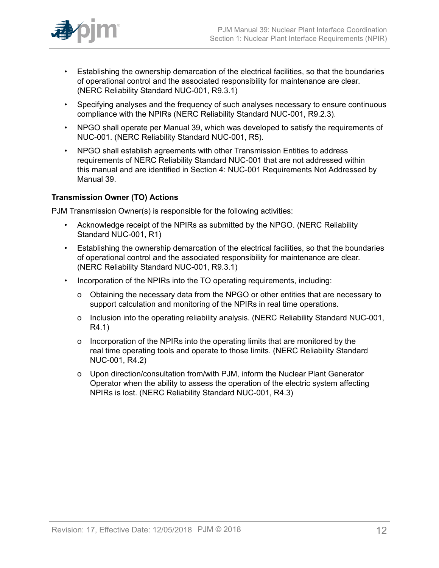

- Establishing the ownership demarcation of the electrical facilities, so that the boundaries of operational control and the associated responsibility for maintenance are clear. (NERC Reliability Standard NUC-001, R9.3.1)
- Specifying analyses and the frequency of such analyses necessary to ensure continuous compliance with the NPIRs (NERC Reliability Standard NUC-001, R9.2.3).
- NPGO shall operate per Manual 39, which was developed to satisfy the requirements of NUC-001. (NERC Reliability Standard NUC-001, R5).
- NPGO shall establish agreements with other Transmission Entities to address requirements of NERC Reliability Standard NUC-001 that are not addressed within this manual and are identified in Section 4: NUC-001 Requirements Not Addressed by Manual 39.

#### **Transmission Owner (TO) Actions**

PJM Transmission Owner(s) is responsible for the following activities:

- Acknowledge receipt of the NPIRs as submitted by the NPGO. (NERC Reliability Standard NUC-001, R1)
- Establishing the ownership demarcation of the electrical facilities, so that the boundaries of operational control and the associated responsibility for maintenance are clear. (NERC Reliability Standard NUC-001, R9.3.1)
- Incorporation of the NPIRs into the TO operating requirements, including:
	- o Obtaining the necessary data from the NPGO or other entities that are necessary to support calculation and monitoring of the NPIRs in real time operations.
	- o Inclusion into the operating reliability analysis. (NERC Reliability Standard NUC-001, R4.1)
	- o Incorporation of the NPIRs into the operating limits that are monitored by the real time operating tools and operate to those limits. (NERC Reliability Standard NUC-001, R4.2)
	- o Upon direction/consultation from/with PJM, inform the Nuclear Plant Generator Operator when the ability to assess the operation of the electric system affecting NPIRs is lost. (NERC Reliability Standard NUC-001, R4.3)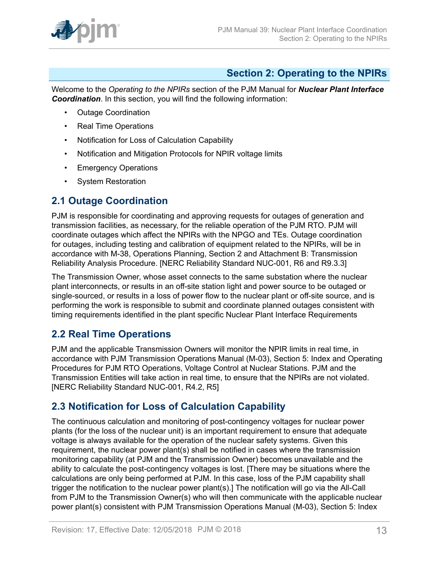

### <span id="page-12-0"></span>**Section 2: Operating to the NPIRs**

Welcome to the *Operating to the NPIRs* section of the PJM Manual for *Nuclear Plant Interface Coordination*. In this section, you will find the following information:

- Outage Coordination
- Real Time Operations
- Notification for Loss of Calculation Capability
- Notification and Mitigation Protocols for NPIR voltage limits
- Emergency Operations
- System Restoration

### <span id="page-12-1"></span>**2.1 Outage Coordination**

PJM is responsible for coordinating and approving requests for outages of generation and transmission facilities, as necessary, for the reliable operation of the PJM RTO. PJM will coordinate outages which affect the NPIRs with the NPGO and TEs. Outage coordination for outages, including testing and calibration of equipment related to the NPIRs, will be in accordance with M-38, Operations Planning, Section 2 and Attachment B: Transmission Reliability Analysis Procedure. [NERC Reliability Standard NUC-001, R6 and R9.3.3]

The Transmission Owner, whose asset connects to the same substation where the nuclear plant interconnects, or results in an off-site station light and power source to be outaged or single-sourced, or results in a loss of power flow to the nuclear plant or off-site source, and is performing the work is responsible to submit and coordinate planned outages consistent with timing requirements identified in the plant specific Nuclear Plant Interface Requirements

## <span id="page-12-2"></span>**2.2 Real Time Operations**

PJM and the applicable Transmission Owners will monitor the NPIR limits in real time, in accordance with PJM Transmission Operations Manual (M-03), Section 5: Index and Operating Procedures for PJM RTO Operations, Voltage Control at Nuclear Stations. PJM and the Transmission Entities will take action in real time, to ensure that the NPIRs are not violated. [NERC Reliability Standard NUC-001, R4.2, R5]

### <span id="page-12-3"></span>**2.3 Notification for Loss of Calculation Capability**

The continuous calculation and monitoring of post-contingency voltages for nuclear power plants (for the loss of the nuclear unit) is an important requirement to ensure that adequate voltage is always available for the operation of the nuclear safety systems. Given this requirement, the nuclear power plant(s) shall be notified in cases where the transmission monitoring capability (at PJM and the Transmission Owner) becomes unavailable and the ability to calculate the post-contingency voltages is lost. [There may be situations where the calculations are only being performed at PJM. In this case, loss of the PJM capability shall trigger the notification to the nuclear power plant(s).] The notification will go via the All-Call from PJM to the Transmission Owner(s) who will then communicate with the applicable nuclear power plant(s) consistent with PJM Transmission Operations Manual (M-03), Section 5: Index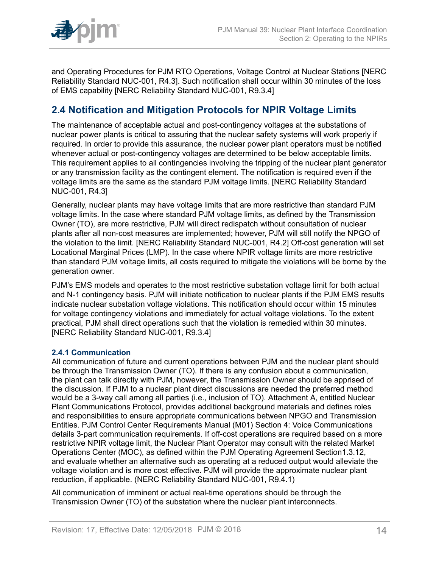

and Operating Procedures for PJM RTO Operations, Voltage Control at Nuclear Stations [NERC Reliability Standard NUC-001, R4.3]. Such notification shall occur within 30 minutes of the loss of EMS capability [NERC Reliability Standard NUC-001, R9.3.4]

## <span id="page-13-0"></span>**2.4 Notification and Mitigation Protocols for NPIR Voltage Limits**

The maintenance of acceptable actual and post-contingency voltages at the substations of nuclear power plants is critical to assuring that the nuclear safety systems will work properly if required. In order to provide this assurance, the nuclear power plant operators must be notified whenever actual or post-contingency voltages are determined to be below acceptable limits. This requirement applies to all contingencies involving the tripping of the nuclear plant generator or any transmission facility as the contingent element. The notification is required even if the voltage limits are the same as the standard PJM voltage limits. [NERC Reliability Standard NUC-001, R4.3]

Generally, nuclear plants may have voltage limits that are more restrictive than standard PJM voltage limits. In the case where standard PJM voltage limits, as defined by the Transmission Owner (TO), are more restrictive, PJM will direct redispatch without consultation of nuclear plants after all non-cost measures are implemented; however, PJM will still notify the NPGO of the violation to the limit. [NERC Reliability Standard NUC-001, R4.2] Off-cost generation will set Locational Marginal Prices (LMP). In the case where NPIR voltage limits are more restrictive than standard PJM voltage limits, all costs required to mitigate the violations will be borne by the generation owner.

PJM's EMS models and operates to the most restrictive substation voltage limit for both actual and N-1 contingency basis. PJM will initiate notification to nuclear plants if the PJM EMS results indicate nuclear substation voltage violations. This notification should occur within 15 minutes for voltage contingency violations and immediately for actual voltage violations. To the extent practical, PJM shall direct operations such that the violation is remedied within 30 minutes. [NERC Reliability Standard NUC-001, R9.3.4]

#### <span id="page-13-1"></span>**2.4.1 Communication**

All communication of future and current operations between PJM and the nuclear plant should be through the Transmission Owner (TO). If there is any confusion about a communication, the plant can talk directly with PJM, however, the Transmission Owner should be apprised of the discussion. If PJM to a nuclear plant direct discussions are needed the preferred method would be a 3-way call among all parties (i.e., inclusion of TO). Attachment A, entitled Nuclear Plant Communications Protocol, provides additional background materials and defines roles and responsibilities to ensure appropriate communications between NPGO and Transmission Entities. PJM Control Center Requirements Manual (M01) Section 4: Voice Communications details 3-part communication requirements. If off-cost operations are required based on a more restrictive NPIR voltage limit, the Nuclear Plant Operator may consult with the related Market Operations Center (MOC), as defined within the PJM Operating Agreement Section1.3.12, and evaluate whether an alternative such as operating at a reduced output would alleviate the voltage violation and is more cost effective. PJM will provide the approximate nuclear plant reduction, if applicable. (NERC Reliability Standard NUC-001, R9.4.1)

All communication of imminent or actual real-time operations should be through the Transmission Owner (TO) of the substation where the nuclear plant interconnects.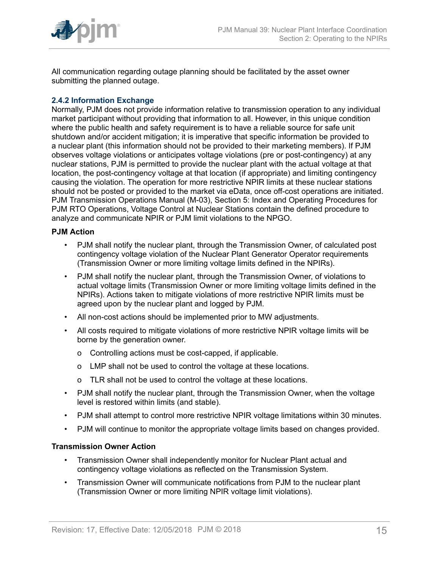

All communication regarding outage planning should be facilitated by the asset owner submitting the planned outage.

#### <span id="page-14-0"></span>**2.4.2 Information Exchange**

Normally, PJM does not provide information relative to transmission operation to any individual market participant without providing that information to all. However, in this unique condition where the public health and safety requirement is to have a reliable source for safe unit shutdown and/or accident mitigation; it is imperative that specific information be provided to a nuclear plant (this information should not be provided to their marketing members). If PJM observes voltage violations or anticipates voltage violations (pre or post-contingency) at any nuclear stations, PJM is permitted to provide the nuclear plant with the actual voltage at that location, the post-contingency voltage at that location (if appropriate) and limiting contingency causing the violation. The operation for more restrictive NPIR limits at these nuclear stations should not be posted or provided to the market via eData, once off-cost operations are initiated. PJM Transmission Operations Manual (M-03), Section 5: Index and Operating Procedures for PJM RTO Operations, Voltage Control at Nuclear Stations contain the defined procedure to analyze and communicate NPIR or PJM limit violations to the NPGO.

#### **PJM Action**

- PJM shall notify the nuclear plant, through the Transmission Owner, of calculated post contingency voltage violation of the Nuclear Plant Generator Operator requirements (Transmission Owner or more limiting voltage limits defined in the NPIRs).
- PJM shall notify the nuclear plant, through the Transmission Owner, of violations to actual voltage limits (Transmission Owner or more limiting voltage limits defined in the NPIRs). Actions taken to mitigate violations of more restrictive NPIR limits must be agreed upon by the nuclear plant and logged by PJM.
- All non-cost actions should be implemented prior to MW adjustments.
- All costs required to mitigate violations of more restrictive NPIR voltage limits will be borne by the generation owner.
	- o Controlling actions must be cost-capped, if applicable.
	- o LMP shall not be used to control the voltage at these locations.
	- o TLR shall not be used to control the voltage at these locations.
- PJM shall notify the nuclear plant, through the Transmission Owner, when the voltage level is restored within limits (and stable).
- PJM shall attempt to control more restrictive NPIR voltage limitations within 30 minutes.
- PJM will continue to monitor the appropriate voltage limits based on changes provided.

#### **Transmission Owner Action**

- Transmission Owner shall independently monitor for Nuclear Plant actual and contingency voltage violations as reflected on the Transmission System.
- Transmission Owner will communicate notifications from PJM to the nuclear plant (Transmission Owner or more limiting NPIR voltage limit violations).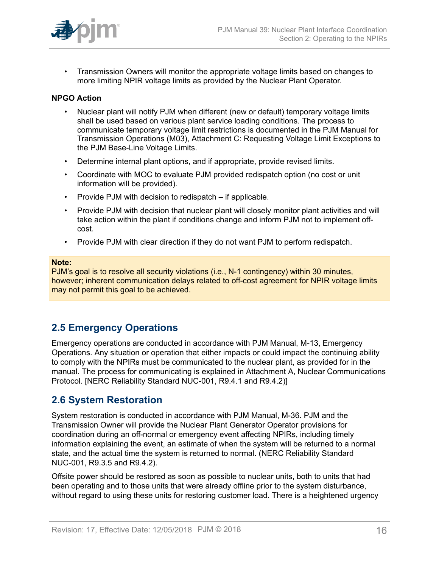

• Transmission Owners will monitor the appropriate voltage limits based on changes to more limiting NPIR voltage limits as provided by the Nuclear Plant Operator.

#### **NPGO Action**

- Nuclear plant will notify PJM when different (new or default) temporary voltage limits shall be used based on various plant service loading conditions. The process to communicate temporary voltage limit restrictions is documented in the PJM Manual for Transmission Operations (M03), Attachment C: Requesting Voltage Limit Exceptions to the PJM Base-Line Voltage Limits.
- Determine internal plant options, and if appropriate, provide revised limits.
- Coordinate with MOC to evaluate PJM provided redispatch option (no cost or unit information will be provided).
- Provide PJM with decision to redispatch if applicable.
- Provide PJM with decision that nuclear plant will closely monitor plant activities and will take action within the plant if conditions change and inform PJM not to implement offcost.
- Provide PJM with clear direction if they do not want PJM to perform redispatch.

#### **Note:**

PJM's goal is to resolve all security violations (i.e., N-1 contingency) within 30 minutes, however; inherent communication delays related to off-cost agreement for NPIR voltage limits may not permit this goal to be achieved.

### <span id="page-15-0"></span>**2.5 Emergency Operations**

Emergency operations are conducted in accordance with PJM Manual, M-13, Emergency Operations. Any situation or operation that either impacts or could impact the continuing ability to comply with the NPIRs must be communicated to the nuclear plant, as provided for in the manual. The process for communicating is explained in Attachment A, Nuclear Communications Protocol. [NERC Reliability Standard NUC-001, R9.4.1 and R9.4.2)]

### <span id="page-15-1"></span>**2.6 System Restoration**

System restoration is conducted in accordance with PJM Manual, M-36. PJM and the Transmission Owner will provide the Nuclear Plant Generator Operator provisions for coordination during an off-normal or emergency event affecting NPIRs, including timely information explaining the event, an estimate of when the system will be returned to a normal state, and the actual time the system is returned to normal. (NERC Reliability Standard NUC-001, R9.3.5 and R9.4.2).

Offsite power should be restored as soon as possible to nuclear units, both to units that had been operating and to those units that were already offline prior to the system disturbance, without regard to using these units for restoring customer load. There is a heightened urgency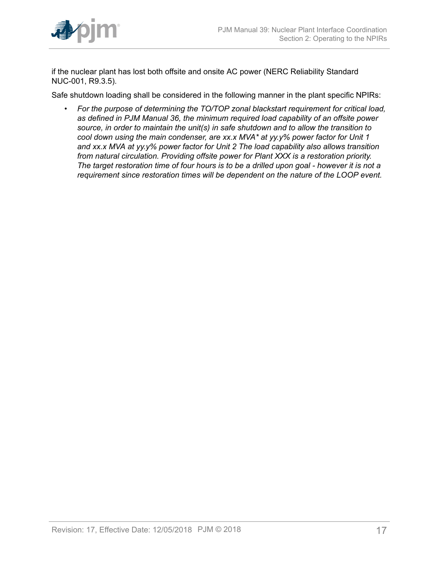

if the nuclear plant has lost both offsite and onsite AC power (NERC Reliability Standard NUC-001, R9.3.5).

Safe shutdown loading shall be considered in the following manner in the plant specific NPIRs:

• *For the purpose of determining the TO/TOP zonal blackstart requirement for critical load, as defined in PJM Manual 36, the minimum required load capability of an offsite power source, in order to maintain the unit(s) in safe shutdown and to allow the transition to cool down using the main condenser, are xx.x MVA\* at yy.y% power factor for Unit 1 and xx.x MVA at yy.y% power factor for Unit 2 The load capability also allows transition from natural circulation. Providing offsite power for Plant XXX is a restoration priority. The target restoration time of four hours is to be a drilled upon goal - however it is not a requirement since restoration times will be dependent on the nature of the LOOP event.*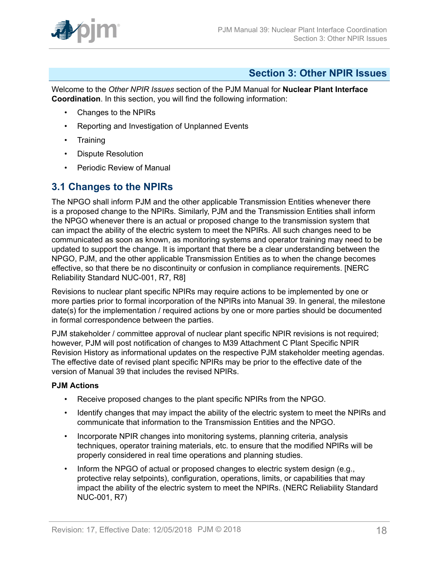

### <span id="page-17-0"></span>**Section 3: Other NPIR Issues**

Welcome to the *Other NPIR Issues* section of the PJM Manual for **Nuclear Plant Interface Coordination**. In this section, you will find the following information:

- Changes to the NPIRs
- Reporting and Investigation of Unplanned Events
- Training
- Dispute Resolution
- Periodic Review of Manual

### <span id="page-17-1"></span>**3.1 Changes to the NPIRs**

The NPGO shall inform PJM and the other applicable Transmission Entities whenever there is a proposed change to the NPIRs. Similarly, PJM and the Transmission Entities shall inform the NPGO whenever there is an actual or proposed change to the transmission system that can impact the ability of the electric system to meet the NPIRs. All such changes need to be communicated as soon as known, as monitoring systems and operator training may need to be updated to support the change. It is important that there be a clear understanding between the NPGO, PJM, and the other applicable Transmission Entities as to when the change becomes effective, so that there be no discontinuity or confusion in compliance requirements. [NERC Reliability Standard NUC-001, R7, R8]

Revisions to nuclear plant specific NPIRs may require actions to be implemented by one or more parties prior to formal incorporation of the NPIRs into Manual 39. In general, the milestone date(s) for the implementation / required actions by one or more parties should be documented in formal correspondence between the parties.

PJM stakeholder / committee approval of nuclear plant specific NPIR revisions is not required; however, PJM will post notification of changes to M39 Attachment C Plant Specific NPIR Revision History as informational updates on the respective PJM stakeholder meeting agendas. The effective date of revised plant specific NPIRs may be prior to the effective date of the version of Manual 39 that includes the revised NPIRs.

#### **PJM Actions**

- Receive proposed changes to the plant specific NPIRs from the NPGO.
- Identify changes that may impact the ability of the electric system to meet the NPIRs and communicate that information to the Transmission Entities and the NPGO.
- Incorporate NPIR changes into monitoring systems, planning criteria, analysis techniques, operator training materials, etc. to ensure that the modified NPIRs will be properly considered in real time operations and planning studies.
- Inform the NPGO of actual or proposed changes to electric system design (e.g., protective relay setpoints), configuration, operations, limits, or capabilities that may impact the ability of the electric system to meet the NPIRs. (NERC Reliability Standard NUC-001, R7)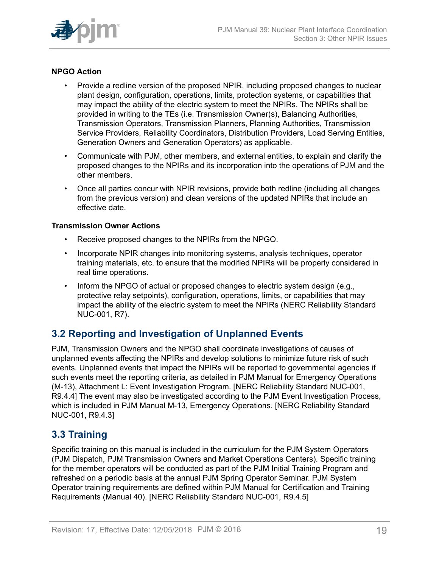

#### **NPGO Action**

- Provide a redline version of the proposed NPIR, including proposed changes to nuclear plant design, configuration, operations, limits, protection systems, or capabilities that may impact the ability of the electric system to meet the NPIRs. The NPIRs shall be provided in writing to the TEs (i.e. Transmission Owner(s), Balancing Authorities, Transmission Operators, Transmission Planners, Planning Authorities, Transmission Service Providers, Reliability Coordinators, Distribution Providers, Load Serving Entities, Generation Owners and Generation Operators) as applicable.
- Communicate with PJM, other members, and external entities, to explain and clarify the proposed changes to the NPIRs and its incorporation into the operations of PJM and the other members.
- Once all parties concur with NPIR revisions, provide both redline (including all changes from the previous version) and clean versions of the updated NPIRs that include an effective date.

#### **Transmission Owner Actions**

- Receive proposed changes to the NPIRs from the NPGO.
- Incorporate NPIR changes into monitoring systems, analysis techniques, operator training materials, etc. to ensure that the modified NPIRs will be properly considered in real time operations.
- Inform the NPGO of actual or proposed changes to electric system design (e.g., protective relay setpoints), configuration, operations, limits, or capabilities that may impact the ability of the electric system to meet the NPIRs (NERC Reliability Standard NUC-001, R7).

### <span id="page-18-0"></span>**3.2 Reporting and Investigation of Unplanned Events**

PJM, Transmission Owners and the NPGO shall coordinate investigations of causes of unplanned events affecting the NPIRs and develop solutions to minimize future risk of such events. Unplanned events that impact the NPIRs will be reported to governmental agencies if such events meet the reporting criteria, as detailed in PJM Manual for Emergency Operations (M-13), Attachment L: Event Investigation Program. [NERC Reliability Standard NUC-001, R9.4.4] The event may also be investigated according to the PJM Event Investigation Process, which is included in PJM Manual M-13, Emergency Operations. [NERC Reliability Standard NUC-001, R9.4.3]

### <span id="page-18-1"></span>**3.3 Training**

Specific training on this manual is included in the curriculum for the PJM System Operators (PJM Dispatch, PJM Transmission Owners and Market Operations Centers). Specific training for the member operators will be conducted as part of the PJM Initial Training Program and refreshed on a periodic basis at the annual PJM Spring Operator Seminar. PJM System Operator training requirements are defined within PJM Manual for Certification and Training Requirements (Manual 40). [NERC Reliability Standard NUC-001, R9.4.5]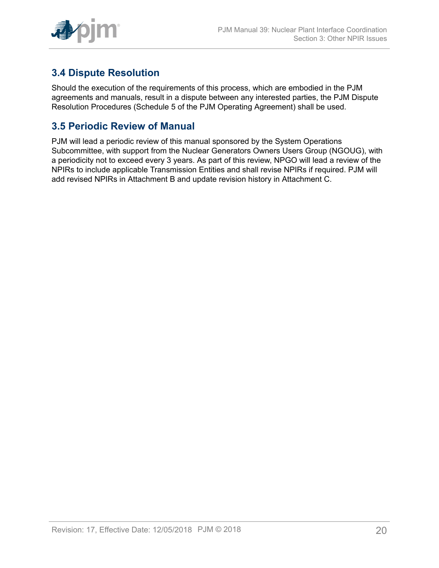

## <span id="page-19-0"></span>**3.4 Dispute Resolution**

Should the execution of the requirements of this process, which are embodied in the PJM agreements and manuals, result in a dispute between any interested parties, the PJM Dispute Resolution Procedures (Schedule 5 of the PJM Operating Agreement) shall be used.

### <span id="page-19-1"></span>**3.5 Periodic Review of Manual**

PJM will lead a periodic review of this manual sponsored by the System Operations Subcommittee, with support from the Nuclear Generators Owners Users Group (NGOUG), with a periodicity not to exceed every 3 years. As part of this review, NPGO will lead a review of the NPIRs to include applicable Transmission Entities and shall revise NPIRs if required. PJM will add revised NPIRs in Attachment B and update revision history in Attachment C.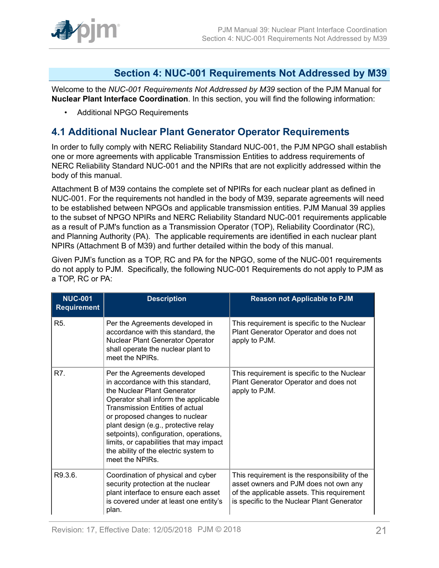

### <span id="page-20-0"></span>**Section 4: NUC-001 Requirements Not Addressed by M39**

Welcome to the *NUC-001 Requirements Not Addressed by M39* section of the PJM Manual for **Nuclear Plant Interface Coordination**. In this section, you will find the following information:

• Additional NPGO Requirements

### <span id="page-20-1"></span>**4.1 Additional Nuclear Plant Generator Operator Requirements**

In order to fully comply with NERC Reliability Standard NUC-001, the PJM NPGO shall establish one or more agreements with applicable Transmission Entities to address requirements of NERC Reliability Standard NUC-001 and the NPIRs that are not explicitly addressed within the body of this manual.

Attachment B of M39 contains the complete set of NPIRs for each nuclear plant as defined in NUC-001. For the requirements not handled in the body of M39, separate agreements will need to be established between NPGOs and applicable transmission entities. PJM Manual 39 applies to the subset of NPGO NPIRs and NERC Reliability Standard NUC-001 requirements applicable as a result of PJM's function as a Transmission Operator (TOP), Reliability Coordinator (RC), and Planning Authority (PA). The applicable requirements are identified in each nuclear plant NPIRs (Attachment B of M39) and further detailed within the body of this manual.

Given PJM's function as a TOP, RC and PA for the NPGO, some of the NUC-001 requirements do not apply to PJM. Specifically, the following NUC-001 Requirements do not apply to PJM as a TOP, RC or PA:

| <b>NUC-001</b><br><b>Requirement</b> | <b>Description</b>                                                                                                                                                                                                                                                                                                                                                                                            | <b>Reason not Applicable to PJM</b>                                                                                                                                                |
|--------------------------------------|---------------------------------------------------------------------------------------------------------------------------------------------------------------------------------------------------------------------------------------------------------------------------------------------------------------------------------------------------------------------------------------------------------------|------------------------------------------------------------------------------------------------------------------------------------------------------------------------------------|
| R <sub>5</sub> .                     | Per the Agreements developed in<br>accordance with this standard, the<br>Nuclear Plant Generator Operator<br>shall operate the nuclear plant to<br>meet the NPIRs.                                                                                                                                                                                                                                            | This requirement is specific to the Nuclear<br>Plant Generator Operator and does not<br>apply to PJM.                                                                              |
| R7.                                  | Per the Agreements developed<br>in accordance with this standard,<br>the Nuclear Plant Generator<br>Operator shall inform the applicable<br><b>Transmission Entities of actual</b><br>or proposed changes to nuclear<br>plant design (e.g., protective relay<br>setpoints), configuration, operations,<br>limits, or capabilities that may impact<br>the ability of the electric system to<br>meet the NPIRs. | This requirement is specific to the Nuclear<br>Plant Generator Operator and does not<br>apply to PJM.                                                                              |
| R9.3.6.                              | Coordination of physical and cyber<br>security protection at the nuclear<br>plant interface to ensure each asset<br>is covered under at least one entity's<br>plan.                                                                                                                                                                                                                                           | This requirement is the responsibility of the<br>asset owners and PJM does not own any<br>of the applicable assets. This requirement<br>is specific to the Nuclear Plant Generator |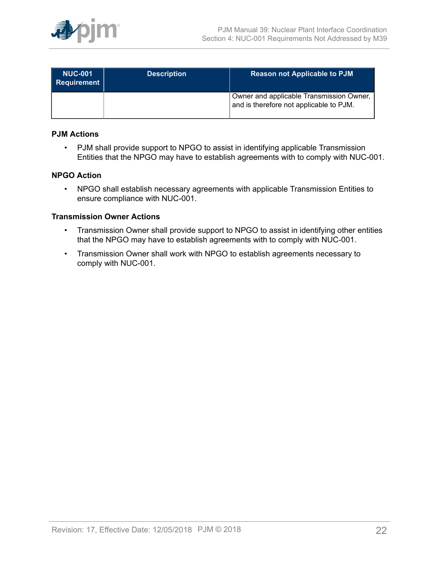

| <b>NUC-001</b><br>Requirement | <b>Description</b> | <b>Reason not Applicable to PJM</b>                                                 |
|-------------------------------|--------------------|-------------------------------------------------------------------------------------|
|                               |                    | Owner and applicable Transmission Owner,<br>and is therefore not applicable to PJM. |

#### **PJM Actions**

• PJM shall provide support to NPGO to assist in identifying applicable Transmission Entities that the NPGO may have to establish agreements with to comply with NUC-001.

#### **NPGO Action**

• NPGO shall establish necessary agreements with applicable Transmission Entities to ensure compliance with NUC-001.

#### **Transmission Owner Actions**

- Transmission Owner shall provide support to NPGO to assist in identifying other entities that the NPGO may have to establish agreements with to comply with NUC-001.
- Transmission Owner shall work with NPGO to establish agreements necessary to comply with NUC-001.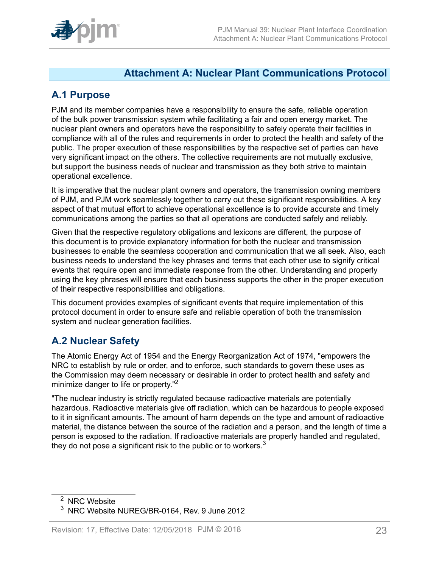

### <span id="page-22-0"></span>**Attachment A: Nuclear Plant Communications Protocol**

### <span id="page-22-1"></span>**A.1 Purpose**

PJM and its member companies have a responsibility to ensure the safe, reliable operation of the bulk power transmission system while facilitating a fair and open energy market. The nuclear plant owners and operators have the responsibility to safely operate their facilities in compliance with all of the rules and requirements in order to protect the health and safety of the public. The proper execution of these responsibilities by the respective set of parties can have very significant impact on the others. The collective requirements are not mutually exclusive, but support the business needs of nuclear and transmission as they both strive to maintain operational excellence.

It is imperative that the nuclear plant owners and operators, the transmission owning members of PJM, and PJM work seamlessly together to carry out these significant responsibilities. A key aspect of that mutual effort to achieve operational excellence is to provide accurate and timely communications among the parties so that all operations are conducted safely and reliably.

Given that the respective regulatory obligations and lexicons are different, the purpose of this document is to provide explanatory information for both the nuclear and transmission businesses to enable the seamless cooperation and communication that we all seek. Also, each business needs to understand the key phrases and terms that each other use to signify critical events that require open and immediate response from the other. Understanding and properly using the key phrases will ensure that each business supports the other in the proper execution of their respective responsibilities and obligations.

This document provides examples of significant events that require implementation of this protocol document in order to ensure safe and reliable operation of both the transmission system and nuclear generation facilities.

### <span id="page-22-2"></span>**A.2 Nuclear Safety**

The Atomic Energy Act of 1954 and the Energy Reorganization Act of 1974, "empowers the NRC to establish by rule or order, and to enforce, such standards to govern these uses as the Commission may deem necessary or desirable in order to protect health and safety and minimize danger to life or property."<sup>2</sup>

"The nuclear industry is strictly regulated because radioactive materials are potentially hazardous. Radioactive materials give off radiation, which can be hazardous to people exposed to it in significant amounts. The amount of harm depends on the type and amount of radioactive material, the distance between the source of the radiation and a person, and the length of time a person is exposed to the radiation. If radioactive materials are properly handled and regulated, they do not pose a significant risk to the public or to workers. $3$ 

<sup>&</sup>lt;sup>2</sup> NRC Website

<sup>3</sup> NRC Website NUREG/BR-0164, Rev. 9 June 2012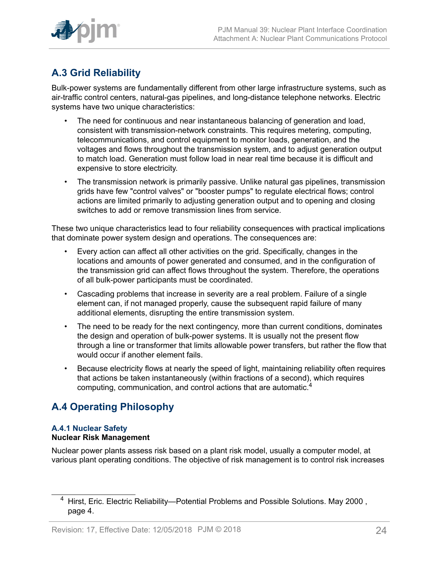

## <span id="page-23-0"></span>**A.3 Grid Reliability**

Bulk-power systems are fundamentally different from other large infrastructure systems, such as air-traffic control centers, natural-gas pipelines, and long-distance telephone networks. Electric systems have two unique characteristics:

- The need for continuous and near instantaneous balancing of generation and load, consistent with transmission-network constraints. This requires metering, computing, telecommunications, and control equipment to monitor loads, generation, and the voltages and flows throughout the transmission system, and to adjust generation output to match load. Generation must follow load in near real time because it is difficult and expensive to store electricity.
- The transmission network is primarily passive. Unlike natural gas pipelines, transmission grids have few "control valves" or "booster pumps" to regulate electrical flows; control actions are limited primarily to adjusting generation output and to opening and closing switches to add or remove transmission lines from service.

These two unique characteristics lead to four reliability consequences with practical implications that dominate power system design and operations. The consequences are:

- Every action can affect all other activities on the grid. Specifically, changes in the locations and amounts of power generated and consumed, and in the configuration of the transmission grid can affect flows throughout the system. Therefore, the operations of all bulk-power participants must be coordinated.
- Cascading problems that increase in severity are a real problem. Failure of a single element can, if not managed properly, cause the subsequent rapid failure of many additional elements, disrupting the entire transmission system.
- The need to be ready for the next contingency, more than current conditions, dominates the design and operation of bulk-power systems. It is usually not the present flow through a line or transformer that limits allowable power transfers, but rather the flow that would occur if another element fails.
- Because electricity flows at nearly the speed of light, maintaining reliability often requires that actions be taken instantaneously (within fractions of a second), which requires computing, communication, and control actions that are automatic.<sup>4</sup>

## <span id="page-23-1"></span>**A.4 Operating Philosophy**

#### **A.4.1 Nuclear Safety Nuclear Risk Management**

Nuclear power plants assess risk based on a plant risk model, usually a computer model, at various plant operating conditions. The objective of risk management is to control risk increases

<sup>4</sup> Hirst, Eric. Electric Reliability—Potential Problems and Possible Solutions. May 2000 , page 4.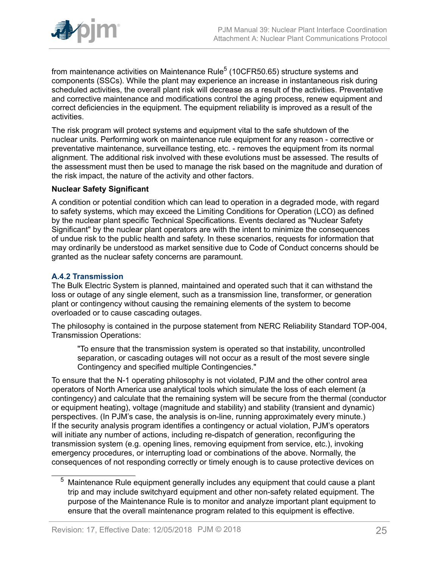

from maintenance activities on Maintenance Rule $^5$  (10CFR50.65) structure systems and components (SSCs). While the plant may experience an increase in instantaneous risk during scheduled activities, the overall plant risk will decrease as a result of the activities. Preventative and corrective maintenance and modifications control the aging process, renew equipment and correct deficiencies in the equipment. The equipment reliability is improved as a result of the activities.

The risk program will protect systems and equipment vital to the safe shutdown of the nuclear units. Performing work on maintenance rule equipment for any reason - corrective or preventative maintenance, surveillance testing, etc. - removes the equipment from its normal alignment. The additional risk involved with these evolutions must be assessed. The results of the assessment must then be used to manage the risk based on the magnitude and duration of the risk impact, the nature of the activity and other factors.

#### **Nuclear Safety Significant**

A condition or potential condition which can lead to operation in a degraded mode, with regard to safety systems, which may exceed the Limiting Conditions for Operation (LCO) as defined by the nuclear plant specific Technical Specifications. Events declared as "Nuclear Safety Significant" by the nuclear plant operators are with the intent to minimize the consequences of undue risk to the public health and safety. In these scenarios, requests for information that may ordinarily be understood as market sensitive due to Code of Conduct concerns should be granted as the nuclear safety concerns are paramount.

#### **A.4.2 Transmission**

The Bulk Electric System is planned, maintained and operated such that it can withstand the loss or outage of any single element, such as a transmission line, transformer, or generation plant or contingency without causing the remaining elements of the system to become overloaded or to cause cascading outages.

The philosophy is contained in the purpose statement from NERC Reliability Standard TOP-004, Transmission Operations:

"To ensure that the transmission system is operated so that instability, uncontrolled separation, or cascading outages will not occur as a result of the most severe single Contingency and specified multiple Contingencies."

To ensure that the N-1 operating philosophy is not violated, PJM and the other control area operators of North America use analytical tools which simulate the loss of each element (a contingency) and calculate that the remaining system will be secure from the thermal (conductor or equipment heating), voltage (magnitude and stability) and stability (transient and dynamic) perspectives. (In PJM's case, the analysis is on-line, running approximately every minute.) If the security analysis program identifies a contingency or actual violation, PJM's operators will initiate any number of actions, including re-dispatch of generation, reconfiguring the transmission system (e.g. opening lines, removing equipment from service, etc.), invoking emergency procedures, or interrupting load or combinations of the above. Normally, the consequences of not responding correctly or timely enough is to cause protective devices on

 $5$  Maintenance Rule equipment generally includes any equipment that could cause a plant trip and may include switchyard equipment and other non-safety related equipment. The purpose of the Maintenance Rule is to monitor and analyze important plant equipment to ensure that the overall maintenance program related to this equipment is effective.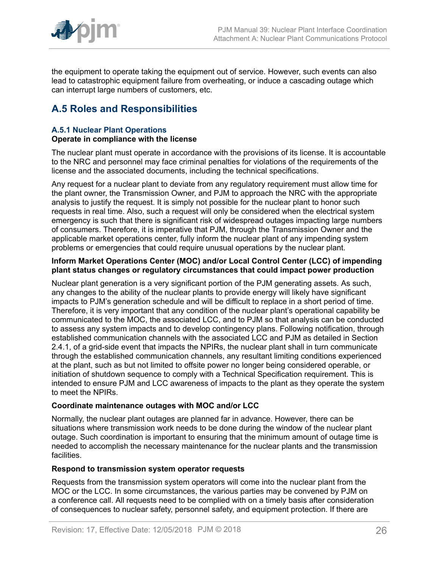

the equipment to operate taking the equipment out of service. However, such events can also lead to catastrophic equipment failure from overheating, or induce a cascading outage which can interrupt large numbers of customers, etc.

## <span id="page-25-0"></span>**A.5 Roles and Responsibilities**

#### **A.5.1 Nuclear Plant Operations Operate in compliance with the license**

The nuclear plant must operate in accordance with the provisions of its license. It is accountable to the NRC and personnel may face criminal penalties for violations of the requirements of the license and the associated documents, including the technical specifications.

Any request for a nuclear plant to deviate from any regulatory requirement must allow time for the plant owner, the Transmission Owner, and PJM to approach the NRC with the appropriate analysis to justify the request. It is simply not possible for the nuclear plant to honor such requests in real time. Also, such a request will only be considered when the electrical system emergency is such that there is significant risk of widespread outages impacting large numbers of consumers. Therefore, it is imperative that PJM, through the Transmission Owner and the applicable market operations center, fully inform the nuclear plant of any impending system problems or emergencies that could require unusual operations by the nuclear plant.

#### **Inform Market Operations Center (MOC) and/or Local Control Center (LCC) of impending plant status changes or regulatory circumstances that could impact power production**

Nuclear plant generation is a very significant portion of the PJM generating assets. As such, any changes to the ability of the nuclear plants to provide energy will likely have significant impacts to PJM's generation schedule and will be difficult to replace in a short period of time. Therefore, it is very important that any condition of the nuclear plant's operational capability be communicated to the MOC, the associated LCC, and to PJM so that analysis can be conducted to assess any system impacts and to develop contingency plans. Following notification, through established communication channels with the associated LCC and PJM as detailed in Section 2.4.1, of a grid-side event that impacts the NPIRs, the nuclear plant shall in turn communicate through the established communication channels, any resultant limiting conditions experienced at the plant, such as but not limited to offsite power no longer being considered operable, or initiation of shutdown sequence to comply with a Technical Specification requirement. This is intended to ensure PJM and LCC awareness of impacts to the plant as they operate the system to meet the NPIRs.

#### **Coordinate maintenance outages with MOC and/or LCC**

Normally, the nuclear plant outages are planned far in advance. However, there can be situations where transmission work needs to be done during the window of the nuclear plant outage. Such coordination is important to ensuring that the minimum amount of outage time is needed to accomplish the necessary maintenance for the nuclear plants and the transmission facilities.

#### **Respond to transmission system operator requests**

Requests from the transmission system operators will come into the nuclear plant from the MOC or the LCC. In some circumstances, the various parties may be convened by PJM on a conference call. All requests need to be complied with on a timely basis after consideration of consequences to nuclear safety, personnel safety, and equipment protection. If there are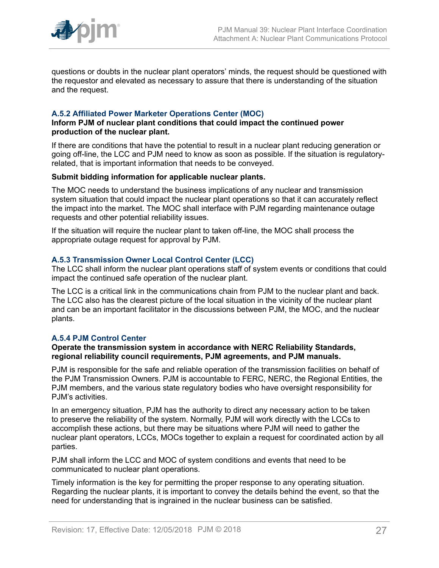

questions or doubts in the nuclear plant operators' minds, the request should be questioned with the requestor and elevated as necessary to assure that there is understanding of the situation and the request.

#### **A.5.2 Affiliated Power Marketer Operations Center (MOC)**

#### **Inform PJM of nuclear plant conditions that could impact the continued power production of the nuclear plant.**

If there are conditions that have the potential to result in a nuclear plant reducing generation or going off-line, the LCC and PJM need to know as soon as possible. If the situation is regulatoryrelated, that is important information that needs to be conveyed.

#### **Submit bidding information for applicable nuclear plants.**

The MOC needs to understand the business implications of any nuclear and transmission system situation that could impact the nuclear plant operations so that it can accurately reflect the impact into the market. The MOC shall interface with PJM regarding maintenance outage requests and other potential reliability issues.

If the situation will require the nuclear plant to taken off-line, the MOC shall process the appropriate outage request for approval by PJM.

#### **A.5.3 Transmission Owner Local Control Center (LCC)**

The LCC shall inform the nuclear plant operations staff of system events or conditions that could impact the continued safe operation of the nuclear plant.

The LCC is a critical link in the communications chain from PJM to the nuclear plant and back. The LCC also has the clearest picture of the local situation in the vicinity of the nuclear plant and can be an important facilitator in the discussions between PJM, the MOC, and the nuclear plants.

#### **A.5.4 PJM Control Center**

#### **Operate the transmission system in accordance with NERC Reliability Standards, regional reliability council requirements, PJM agreements, and PJM manuals.**

PJM is responsible for the safe and reliable operation of the transmission facilities on behalf of the PJM Transmission Owners. PJM is accountable to FERC, NERC, the Regional Entities, the PJM members, and the various state regulatory bodies who have oversight responsibility for PJM's activities.

In an emergency situation, PJM has the authority to direct any necessary action to be taken to preserve the reliability of the system. Normally, PJM will work directly with the LCCs to accomplish these actions, but there may be situations where PJM will need to gather the nuclear plant operators, LCCs, MOCs together to explain a request for coordinated action by all parties.

PJM shall inform the LCC and MOC of system conditions and events that need to be communicated to nuclear plant operations.

Timely information is the key for permitting the proper response to any operating situation. Regarding the nuclear plants, it is important to convey the details behind the event, so that the need for understanding that is ingrained in the nuclear business can be satisfied.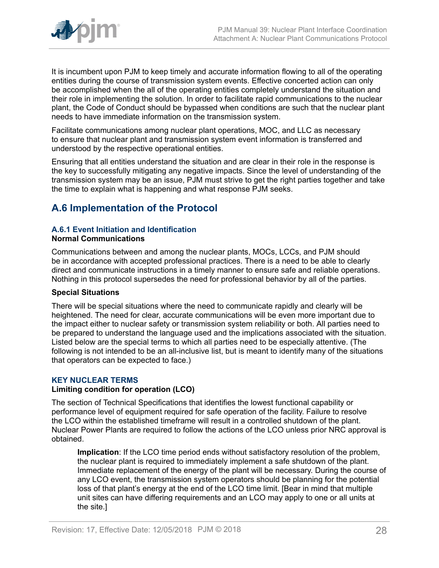

It is incumbent upon PJM to keep timely and accurate information flowing to all of the operating entities during the course of transmission system events. Effective concerted action can only be accomplished when the all of the operating entities completely understand the situation and their role in implementing the solution. In order to facilitate rapid communications to the nuclear plant, the Code of Conduct should be bypassed when conditions are such that the nuclear plant needs to have immediate information on the transmission system.

Facilitate communications among nuclear plant operations, MOC, and LLC as necessary to ensure that nuclear plant and transmission system event information is transferred and understood by the respective operational entities.

Ensuring that all entities understand the situation and are clear in their role in the response is the key to successfully mitigating any negative impacts. Since the level of understanding of the transmission system may be an issue, PJM must strive to get the right parties together and take the time to explain what is happening and what response PJM seeks.

## <span id="page-27-0"></span>**A.6 Implementation of the Protocol**

### **A.6.1 Event Initiation and Identification**

#### **Normal Communications**

Communications between and among the nuclear plants, MOCs, LCCs, and PJM should be in accordance with accepted professional practices. There is a need to be able to clearly direct and communicate instructions in a timely manner to ensure safe and reliable operations. Nothing in this protocol supersedes the need for professional behavior by all of the parties.

#### **Special Situations**

There will be special situations where the need to communicate rapidly and clearly will be heightened. The need for clear, accurate communications will be even more important due to the impact either to nuclear safety or transmission system reliability or both. All parties need to be prepared to understand the language used and the implications associated with the situation. Listed below are the special terms to which all parties need to be especially attentive. (The following is not intended to be an all-inclusive list, but is meant to identify many of the situations that operators can be expected to face.)

#### **KEY NUCLEAR TERMS**

#### **Limiting condition for operation (LCO)**

The section of Technical Specifications that identifies the lowest functional capability or performance level of equipment required for safe operation of the facility. Failure to resolve the LCO within the established timeframe will result in a controlled shutdown of the plant. Nuclear Power Plants are required to follow the actions of the LCO unless prior NRC approval is obtained.

**Implication**: If the LCO time period ends without satisfactory resolution of the problem, the nuclear plant is required to immediately implement a safe shutdown of the plant. Immediate replacement of the energy of the plant will be necessary. During the course of any LCO event, the transmission system operators should be planning for the potential loss of that plant's energy at the end of the LCO time limit. [Bear in mind that multiple unit sites can have differing requirements and an LCO may apply to one or all units at the site.]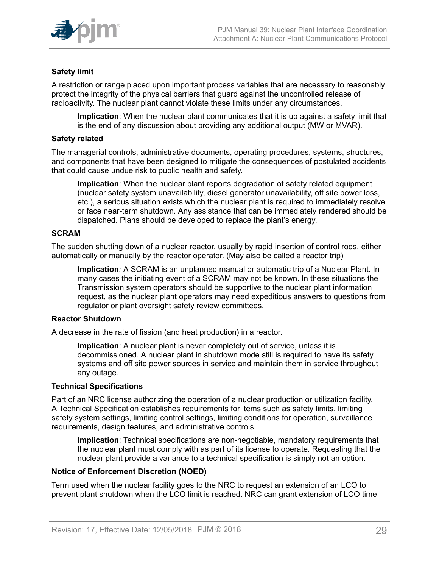

#### **Safety limit**

A restriction or range placed upon important process variables that are necessary to reasonably protect the integrity of the physical barriers that guard against the uncontrolled release of radioactivity. The nuclear plant cannot violate these limits under any circumstances.

**Implication**: When the nuclear plant communicates that it is up against a safety limit that is the end of any discussion about providing any additional output (MW or MVAR).

#### **Safety related**

The managerial controls, administrative documents, operating procedures, systems, structures, and components that have been designed to mitigate the consequences of postulated accidents that could cause undue risk to public health and safety.

**Implication**: When the nuclear plant reports degradation of safety related equipment (nuclear safety system unavailability, diesel generator unavailability, off site power loss, etc.), a serious situation exists which the nuclear plant is required to immediately resolve or face near-term shutdown. Any assistance that can be immediately rendered should be dispatched. Plans should be developed to replace the plant's energy.

#### **SCRAM**

The sudden shutting down of a nuclear reactor, usually by rapid insertion of control rods, either automatically or manually by the reactor operator. (May also be called a reactor trip)

**Implication***:* A SCRAM is an unplanned manual or automatic trip of a Nuclear Plant. In many cases the initiating event of a SCRAM may not be known. In these situations the Transmission system operators should be supportive to the nuclear plant information request, as the nuclear plant operators may need expeditious answers to questions from regulator or plant oversight safety review committees.

#### **Reactor Shutdown**

A decrease in the rate of fission (and heat production) in a reactor.

**Implication**: A nuclear plant is never completely out of service, unless it is decommissioned. A nuclear plant in shutdown mode still is required to have its safety systems and off site power sources in service and maintain them in service throughout any outage.

#### **Technical Specifications**

Part of an NRC license authorizing the operation of a nuclear production or utilization facility. A Technical Specification establishes requirements for items such as safety limits, limiting safety system settings, limiting control settings, limiting conditions for operation, surveillance requirements, design features, and administrative controls.

**Implication**: Technical specifications are non-negotiable, mandatory requirements that the nuclear plant must comply with as part of its license to operate. Requesting that the nuclear plant provide a variance to a technical specification is simply not an option.

#### **Notice of Enforcement Discretion (NOED)**

Term used when the nuclear facility goes to the NRC to request an extension of an LCO to prevent plant shutdown when the LCO limit is reached. NRC can grant extension of LCO time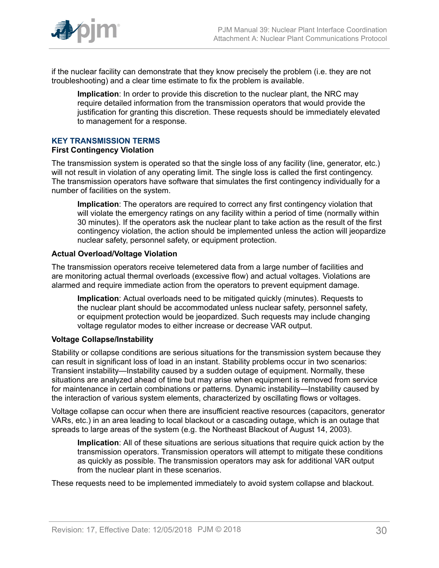

if the nuclear facility can demonstrate that they know precisely the problem (i.e. they are not troubleshooting) and a clear time estimate to fix the problem is available.

**Implication**: In order to provide this discretion to the nuclear plant, the NRC may require detailed information from the transmission operators that would provide the justification for granting this discretion. These requests should be immediately elevated to management for a response.

#### **KEY TRANSMISSION TERMS**

#### **First Contingency Violation**

The transmission system is operated so that the single loss of any facility (line, generator, etc.) will not result in violation of any operating limit. The single loss is called the first contingency. The transmission operators have software that simulates the first contingency individually for a number of facilities on the system.

**Implication**: The operators are required to correct any first contingency violation that will violate the emergency ratings on any facility within a period of time (normally within 30 minutes). If the operators ask the nuclear plant to take action as the result of the first contingency violation, the action should be implemented unless the action will jeopardize nuclear safety, personnel safety, or equipment protection.

#### **Actual Overload/Voltage Violation**

The transmission operators receive telemetered data from a large number of facilities and are monitoring actual thermal overloads (excessive flow) and actual voltages. Violations are alarmed and require immediate action from the operators to prevent equipment damage.

**Implication**: Actual overloads need to be mitigated quickly (minutes). Requests to the nuclear plant should be accommodated unless nuclear safety, personnel safety, or equipment protection would be jeopardized. Such requests may include changing voltage regulator modes to either increase or decrease VAR output.

#### **Voltage Collapse/Instability**

Stability or collapse conditions are serious situations for the transmission system because they can result in significant loss of load in an instant. Stability problems occur in two scenarios: Transient instability—Instability caused by a sudden outage of equipment. Normally, these situations are analyzed ahead of time but may arise when equipment is removed from service for maintenance in certain combinations or patterns. Dynamic instability—Instability caused by the interaction of various system elements, characterized by oscillating flows or voltages.

Voltage collapse can occur when there are insufficient reactive resources (capacitors, generator VARs, etc.) in an area leading to local blackout or a cascading outage, which is an outage that spreads to large areas of the system (e.g. the Northeast Blackout of August 14, 2003).

**Implication**: All of these situations are serious situations that require quick action by the transmission operators. Transmission operators will attempt to mitigate these conditions as quickly as possible. The transmission operators may ask for additional VAR output from the nuclear plant in these scenarios.

These requests need to be implemented immediately to avoid system collapse and blackout.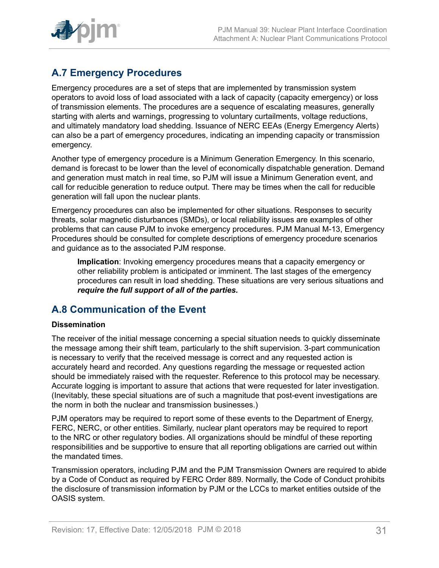

## <span id="page-30-0"></span>**A.7 Emergency Procedures**

Emergency procedures are a set of steps that are implemented by transmission system operators to avoid loss of load associated with a lack of capacity (capacity emergency) or loss of transmission elements. The procedures are a sequence of escalating measures, generally starting with alerts and warnings, progressing to voluntary curtailments, voltage reductions, and ultimately mandatory load shedding. Issuance of NERC EEAs (Energy Emergency Alerts) can also be a part of emergency procedures, indicating an impending capacity or transmission emergency.

Another type of emergency procedure is a Minimum Generation Emergency. In this scenario, demand is forecast to be lower than the level of economically dispatchable generation. Demand and generation must match in real time, so PJM will issue a Minimum Generation event, and call for reducible generation to reduce output. There may be times when the call for reducible generation will fall upon the nuclear plants.

Emergency procedures can also be implemented for other situations. Responses to security threats, solar magnetic disturbances (SMDs), or local reliability issues are examples of other problems that can cause PJM to invoke emergency procedures. PJM Manual M-13, Emergency Procedures should be consulted for complete descriptions of emergency procedure scenarios and guidance as to the associated PJM response.

**Implication**: Invoking emergency procedures means that a capacity emergency or other reliability problem is anticipated or imminent. The last stages of the emergency procedures can result in load shedding. These situations are very serious situations and *require the full support of all of the parties.*

### <span id="page-30-1"></span>**A.8 Communication of the Event**

#### **Dissemination**

The receiver of the initial message concerning a special situation needs to quickly disseminate the message among their shift team, particularly to the shift supervision. 3-part communication is necessary to verify that the received message is correct and any requested action is accurately heard and recorded. Any questions regarding the message or requested action should be immediately raised with the requester. Reference to this protocol may be necessary. Accurate logging is important to assure that actions that were requested for later investigation. (Inevitably, these special situations are of such a magnitude that post-event investigations are the norm in both the nuclear and transmission businesses.)

PJM operators may be required to report some of these events to the Department of Energy, FERC, NERC, or other entities. Similarly, nuclear plant operators may be required to report to the NRC or other regulatory bodies. All organizations should be mindful of these reporting responsibilities and be supportive to ensure that all reporting obligations are carried out within the mandated times.

Transmission operators, including PJM and the PJM Transmission Owners are required to abide by a Code of Conduct as required by FERC Order 889. Normally, the Code of Conduct prohibits the disclosure of transmission information by PJM or the LCCs to market entities outside of the OASIS system.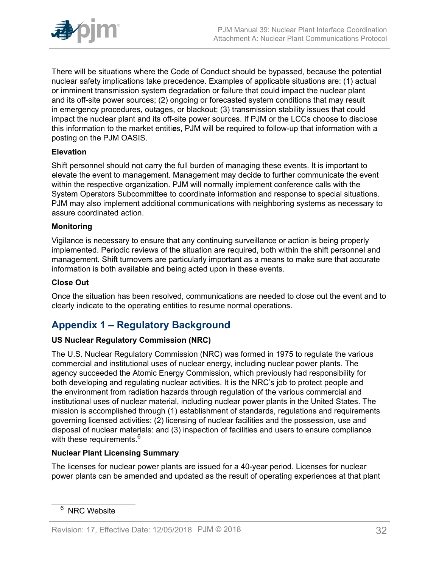

There will be situations where the Code of Conduct should be bypassed, because the potential nuclear safety implications take precedence. Examples of applicable situations are: (1) actual or imminent transmission system degradation or failure that could impact the nuclear plant and its off-site power sources; (2) ongoing or forecasted system conditions that may result in emergency procedures, outages, or blackout; (3) transmission stability issues that could impact the nuclear plant and its off-site power sources. If PJM or the LCCs choose to disclose this information to the market entiti*e*s, PJM will be required to follow-up that information with a posting on the PJM OASIS.

#### **Elevation**

Shift personnel should not carry the full burden of managing these events. It is important to elevate the event to management. Management may decide to further communicate the event within the respective organization. PJM will normally implement conference calls with the System Operators Subcommittee to coordinate information and response to special situations. PJM may also implement additional communications with neighboring systems as necessary to assure coordinated action.

#### **Monitoring**

Vigilance is necessary to ensure that any continuing surveillance or action is being properly implemented. Periodic reviews of the situation are required, both within the shift personnel and management. Shift turnovers are particularly important as a means to make sure that accurate information is both available and being acted upon in these events.

#### **Close Out**

Once the situation has been resolved, communications are needed to close out the event and to clearly indicate to the operating entities to resume normal operations.

### <span id="page-31-0"></span>**Appendix 1 – Regulatory Background**

#### **US Nuclear Regulatory Commission (NRC)**

The U.S. Nuclear Regulatory Commission (NRC) was formed in 1975 to regulate the various commercial and institutional uses of nuclear energy, including nuclear power plants. The agency succeeded the Atomic Energy Commission, which previously had responsibility for both developing and regulating nuclear activities. It is the NRC's job to protect people and the environment from radiation hazards through regulation of the various commercial and institutional uses of nuclear material, including nuclear power plants in the United States. The mission is accomplished through (1) establishment of standards, regulations and requirements governing licensed activities: (2) licensing of nuclear facilities and the possession, use and disposal of nuclear materials: and (3) inspection of facilities and users to ensure compliance with these requirements.<sup>6</sup>

#### **Nuclear Plant Licensing Summary**

The licenses for nuclear power plants are issued for a 40-year period. Licenses for nuclear power plants can be amended and updated as the result of operating experiences at that plant

<sup>&</sup>lt;sup>6</sup> NRC Website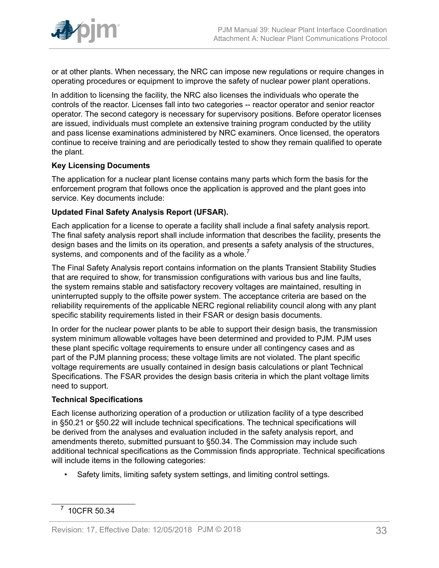

or at other plants. When necessary, the NRC can impose new regulations or require changes in operating procedures or equipment to improve the safety of nuclear power plant operations.

In addition to licensing the facility, the NRC also licenses the individuals who operate the controls of the reactor. Licenses fall into two categories -- reactor operator and senior reactor operator. The second category is necessary for supervisory positions. Before operator licenses are issued, individuals must complete an extensive training program conducted by the utility and pass license examinations administered by NRC examiners. Once licensed, the operators continue to receive training and are periodically tested to show they remain qualified to operate the plant.

#### **Key Licensing Documents**

The application for a nuclear plant license contains many parts which form the basis for the enforcement program that follows once the application is approved and the plant goes into service. Key documents include:

#### **Updated Final Safety Analysis Report (UFSAR).**

Each application for a license to operate a facility shall include a final safety analysis report. The final safety analysis report shall include information that describes the facility, presents the design bases and the limits on its operation, and presents a safety analysis of the structures, systems, and components and of the facility as a whole.<sup>7</sup>

The Final Safety Analysis report contains information on the plants Transient Stability Studies that are required to show, for transmission configurations with various bus and line faults, the system remains stable and satisfactory recovery voltages are maintained, resulting in uninterrupted supply to the offsite power system. The acceptance criteria are based on the reliability requirements of the applicable NERC regional reliability council along with any plant specific stability requirements listed in their FSAR or design basis documents.

In order for the nuclear power plants to be able to support their design basis, the transmission system minimum allowable voltages have been determined and provided to PJM. PJM uses these plant specific voltage requirements to ensure under all contingency cases and as part of the PJM planning process; these voltage limits are not violated. The plant specific voltage requirements are usually contained in design basis calculations or plant Technical Specifications. The FSAR provides the design basis criteria in which the plant voltage limits need to support.

#### **Technical Specifications**

Each license authorizing operation of a production or utilization facility of a type described in §50.21 or §50.22 will include technical specifications. The technical specifications will be derived from the analyses and evaluation included in the safety analysis report, and amendments thereto, submitted pursuant to §50.34. The Commission may include such additional technical specifications as the Commission finds appropriate. Technical specifications will include items in the following categories:

• Safety limits, limiting safety system settings, and limiting control settings.

<sup>7</sup> 10CFR 50.34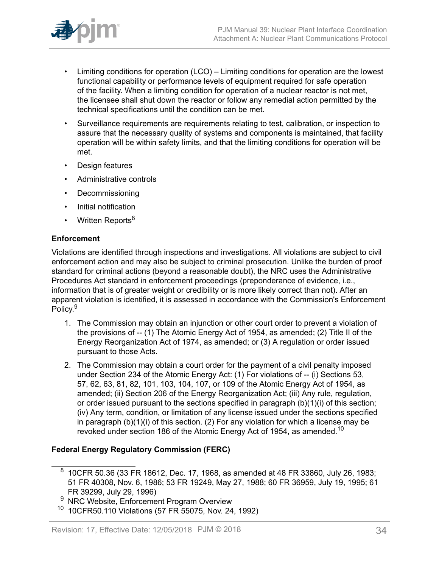

- Limiting conditions for operation (LCO) Limiting conditions for operation are the lowest functional capability or performance levels of equipment required for safe operation of the facility. When a limiting condition for operation of a nuclear reactor is not met, the licensee shall shut down the reactor or follow any remedial action permitted by the technical specifications until the condition can be met.
- Surveillance requirements are requirements relating to test, calibration, or inspection to assure that the necessary quality of systems and components is maintained, that facility operation will be within safety limits, and that the limiting conditions for operation will be met.
- Design features
- Administrative controls
- Decommissioning
- Initial notification
- Written Reports<sup>8</sup>

#### **Enforcement**

Violations are identified through inspections and investigations. All violations are subject to civil enforcement action and may also be subject to criminal prosecution. Unlike the burden of proof standard for criminal actions (beyond a reasonable doubt), the NRC uses the Administrative Procedures Act standard in enforcement proceedings (preponderance of evidence, i.e., information that is of greater weight or credibility or is more likely correct than not). After an apparent violation is identified, it is assessed in accordance with the Commission's Enforcement Policy.<sup>9</sup>

- 1. The Commission may obtain an injunction or other court order to prevent a violation of the provisions of -- (1) The Atomic Energy Act of 1954, as amended; (2) Title II of the Energy Reorganization Act of 1974, as amended; or (3) A regulation or order issued pursuant to those Acts.
- 2. The Commission may obtain a court order for the payment of a civil penalty imposed under Section 234 of the Atomic Energy Act: (1) For violations of -- (i) Sections 53, 57, 62, 63, 81, 82, 101, 103, 104, 107, or 109 of the Atomic Energy Act of 1954, as amended; (ii) Section 206 of the Energy Reorganization Act; (iii) Any rule, regulation, or order issued pursuant to the sections specified in paragraph (b)(1)(i) of this section; (iv) Any term, condition, or limitation of any license issued under the sections specified in paragraph (b)(1)(i) of this section. (2) For any violation for which a license may be revoked under section 186 of the Atomic Energy Act of 1954, as amended.<sup>10</sup>

#### **Federal Energy Regulatory Commission (FERC)**

 $^8\,$  10CFR 50.36 (33 FR 18612, Dec. 17, 1968, as amended at 48 FR 33860, July 26, 1983; 51 FR 40308, Nov. 6, 1986; 53 FR 19249, May 27, 1988; 60 FR 36959, July 19, 1995; 61 FR 39299, July 29, 1996)

NRC Website, Enforcement Program Overview

<sup>10</sup> 10CFR50.110 Violations (57 FR 55075, Nov. 24, 1992)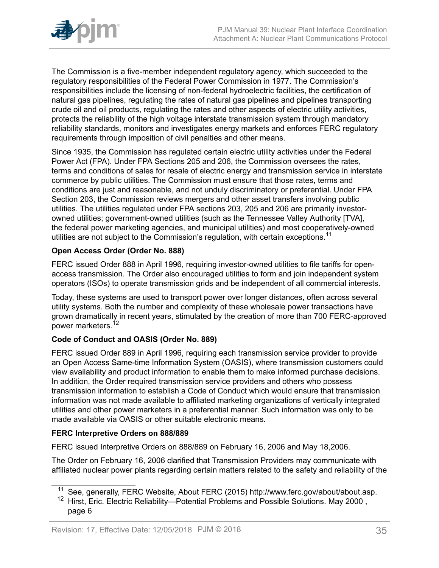

The Commission is a five-member independent regulatory agency, which succeeded to the regulatory responsibilities of the Federal Power Commission in 1977. The Commission's responsibilities include the licensing of non-federal hydroelectric facilities, the certification of natural gas pipelines, regulating the rates of natural gas pipelines and pipelines transporting crude oil and oil products, regulating the rates and other aspects of electric utility activities, protects the reliability of the high voltage interstate transmission system through mandatory reliability standards, monitors and investigates energy markets and enforces FERC regulatory requirements through imposition of civil penalties and other means.

Since 1935, the Commission has regulated certain electric utility activities under the Federal Power Act (FPA). Under FPA Sections 205 and 206, the Commission oversees the rates, terms and conditions of sales for resale of electric energy and transmission service in interstate commerce by public utilities. The Commission must ensure that those rates, terms and conditions are just and reasonable, and not unduly discriminatory or preferential. Under FPA Section 203, the Commission reviews mergers and other asset transfers involving public utilities. The utilities regulated under FPA sections 203, 205 and 206 are primarily investorowned utilities; government-owned utilities (such as the Tennessee Valley Authority [TVA], the federal power marketing agencies, and municipal utilities) and most cooperatively-owned utilities are not subject to the Commission's regulation, with certain exceptions.<sup>11</sup>

#### **Open Access Order (Order No. 888)**

FERC issued Order 888 in April 1996, requiring investor-owned utilities to file tariffs for openaccess transmission. The Order also encouraged utilities to form and join independent system operators (ISOs) to operate transmission grids and be independent of all commercial interests.

Today, these systems are used to transport power over longer distances, often across several utility systems. Both the number and complexity of these wholesale power transactions have grown dramatically in recent years, stimulated by the creation of more than 700 FERC-approved power marketers.<sup>12</sup>

#### **Code of Conduct and OASIS (Order No. 889)**

FERC issued Order 889 in April 1996, requiring each transmission service provider to provide an Open Access Same-time Information System (OASIS), where transmission customers could view availability and product information to enable them to make informed purchase decisions. In addition, the Order required transmission service providers and others who possess transmission information to establish a Code of Conduct which would ensure that transmission information was not made available to affiliated marketing organizations of vertically integrated utilities and other power marketers in a preferential manner. Such information was only to be made available via OASIS or other suitable electronic means.

#### **FERC Interpretive Orders on 888/889**

FERC issued Interpretive Orders on 888/889 on February 16, 2006 and May 18,2006.

The Order on February 16, 2006 clarified that Transmission Providers may communicate with affiliated nuclear power plants regarding certain matters related to the safety and reliability of the

<sup>&</sup>lt;sup>11</sup> See, generally, FERC Website, About FERC (2015) http://www.ferc.gov/about/about.asp.

<sup>&</sup>lt;sup>12</sup> Hirst, Eric. Electric Reliability—Potential Problems and Possible Solutions. May 2000, page 6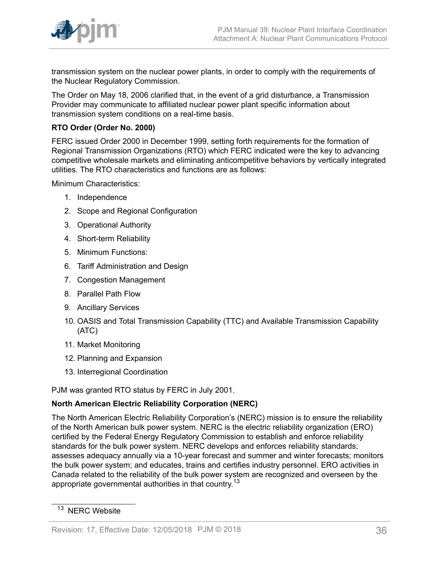

transmission system on the nuclear power plants, in order to comply with the requirements of the Nuclear Regulatory Commission.

The Order on May 18, 2006 clarified that, in the event of a grid disturbance, a Transmission Provider may communicate to affiliated nuclear power plant specific information about transmission system conditions on a real-time basis.

#### **RTO Order (Order No. 2000)**

FERC issued Order 2000 in December 1999, setting forth requirements for the formation of Regional Transmission Organizations (RTO) which FERC indicated were the key to advancing competitive wholesale markets and eliminating anticompetitive behaviors by vertically integrated utilities. The RTO characteristics and functions are as follows:

Minimum Characteristics:

- 1. Independence
- 2. Scope and Regional Configuration
- 3. Operational Authority
- 4. Short-term Reliability
- 5. Minimum Functions:
- 6. Tariff Administration and Design
- 7. Congestion Management
- 8. Parallel Path Flow
- 9. Ancillary Services
- 10. OASIS and Total Transmission Capability (TTC) and Available Transmission Capability (ATC)
- 11. Market Monitoring
- 12. Planning and Expansion
- 13. Interregional Coordination

PJM was granted RTO status by FERC in July 2001.

#### **North American Electric Reliability Corporation (NERC)**

The North American Electric Reliability Corporation's (NERC) mission is to ensure the reliability of the North American bulk power system. NERC is the electric reliability organization (ERO) certified by the Federal Energy Regulatory Commission to establish and enforce reliability standards for the bulk power system. NERC develops and enforces reliability standards; assesses adequacy annually via a 10-year forecast and summer and winter forecasts; monitors the bulk power system; and educates, trains and certifies industry personnel. ERO activities in Canada related to the reliability of the bulk power system are recognized and overseen by the appropriate governmental authorities in that country.<sup>13</sup>

<sup>&</sup>lt;sup>13</sup> NERC Website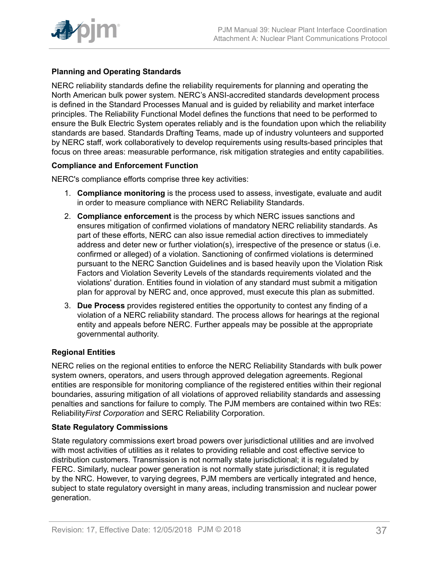

#### **Planning and Operating Standards**

NERC reliability standards define the reliability requirements for planning and operating the North American bulk power system. NERC's ANSI-accredited standards development process is defined in the Standard Processes Manual and is guided by reliability and market interface principles. The Reliability Functional Model defines the functions that need to be performed to ensure the Bulk Electric System operates reliably and is the foundation upon which the reliability standards are based. Standards Drafting Teams, made up of industry volunteers and supported by NERC staff, work collaboratively to develop requirements using results-based principles that focus on three areas: measurable performance, risk mitigation strategies and entity capabilities.

#### **Compliance and Enforcement Function**

NERC's compliance efforts comprise three key activities:

- 1. **Compliance monitoring** is the process used to assess, investigate, evaluate and audit in order to measure compliance with NERC Reliability Standards.
- 2. **Compliance enforcement** is the process by which NERC issues sanctions and ensures mitigation of confirmed violations of mandatory NERC reliability standards. As part of these efforts, NERC can also issue remedial action directives to immediately address and deter new or further violation(s), irrespective of the presence or status (i.e. confirmed or alleged) of a violation. Sanctioning of confirmed violations is determined pursuant to the NERC Sanction Guidelines and is based heavily upon the Violation Risk Factors and Violation Severity Levels of the standards requirements violated and the violations' duration. Entities found in violation of any standard must submit a mitigation plan for approval by NERC and, once approved, must execute this plan as submitted.
- 3. **Due Process** provides registered entities the opportunity to contest any finding of a violation of a NERC reliability standard. The process allows for hearings at the regional entity and appeals before NERC. Further appeals may be possible at the appropriate governmental authority.

#### **Regional Entities**

NERC relies on the regional entities to enforce the NERC Reliability Standards with bulk power system owners, operators, and users through approved delegation agreements. Regional entities are responsible for monitoring compliance of the registered entities within their regional boundaries, assuring mitigation of all violations of approved reliability standards and assessing penalties and sanctions for failure to comply. The PJM members are contained within two REs: Reliability*First Corporation* and SERC Reliability Corporation.

#### **State Regulatory Commissions**

State regulatory commissions exert broad powers over jurisdictional utilities and are involved with most activities of utilities as it relates to providing reliable and cost effective service to distribution customers. Transmission is not normally state jurisdictional; it is regulated by FERC. Similarly, nuclear power generation is not normally state jurisdictional; it is regulated by the NRC. However, to varying degrees, PJM members are vertically integrated and hence, subject to state regulatory oversight in many areas, including transmission and nuclear power generation.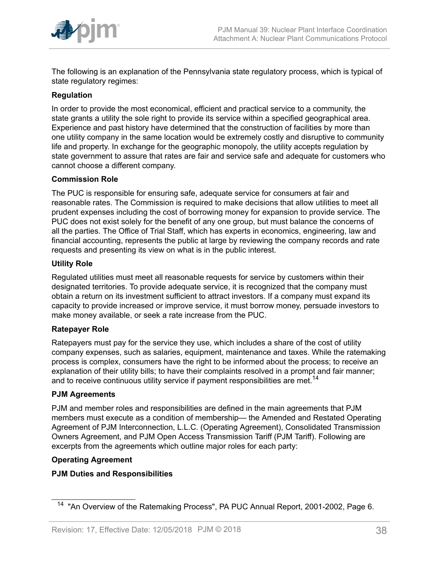

The following is an explanation of the Pennsylvania state regulatory process, which is typical of state regulatory regimes:

#### **Regulation**

In order to provide the most economical, efficient and practical service to a community, the state grants a utility the sole right to provide its service within a specified geographical area. Experience and past history have determined that the construction of facilities by more than one utility company in the same location would be extremely costly and disruptive to community life and property. In exchange for the geographic monopoly, the utility accepts regulation by state government to assure that rates are fair and service safe and adequate for customers who cannot choose a different company.

#### **Commission Role**

The PUC is responsible for ensuring safe, adequate service for consumers at fair and reasonable rates. The Commission is required to make decisions that allow utilities to meet all prudent expenses including the cost of borrowing money for expansion to provide service. The PUC does not exist solely for the benefit of any one group, but must balance the concerns of all the parties. The Office of Trial Staff, which has experts in economics, engineering, law and financial accounting, represents the public at large by reviewing the company records and rate requests and presenting its view on what is in the public interest.

#### **Utility Role**

Regulated utilities must meet all reasonable requests for service by customers within their designated territories. To provide adequate service, it is recognized that the company must obtain a return on its investment sufficient to attract investors. If a company must expand its capacity to provide increased or improve service, it must borrow money, persuade investors to make money available, or seek a rate increase from the PUC.

#### **Ratepayer Role**

Ratepayers must pay for the service they use, which includes a share of the cost of utility company expenses, such as salaries, equipment, maintenance and taxes. While the ratemaking process is complex, consumers have the right to be informed about the process; to receive an explanation of their utility bills; to have their complaints resolved in a prompt and fair manner; and to receive continuous utility service if payment responsibilities are met.<sup>14</sup>

#### **PJM Agreements**

PJM and member roles and responsibilities are defined in the main agreements that PJM members must execute as a condition of membership— the Amended and Restated Operating Agreement of PJM Interconnection, L.L.C. (Operating Agreement), Consolidated Transmission Owners Agreement, and PJM Open Access Transmission Tariff (PJM Tariff). Following are excerpts from the agreements which outline major roles for each party:

#### **Operating Agreement**

#### **PJM Duties and Responsibilities**

<sup>&</sup>lt;sup>14</sup> "An Overview of the Ratemaking Process", PA PUC Annual Report, 2001-2002, Page 6.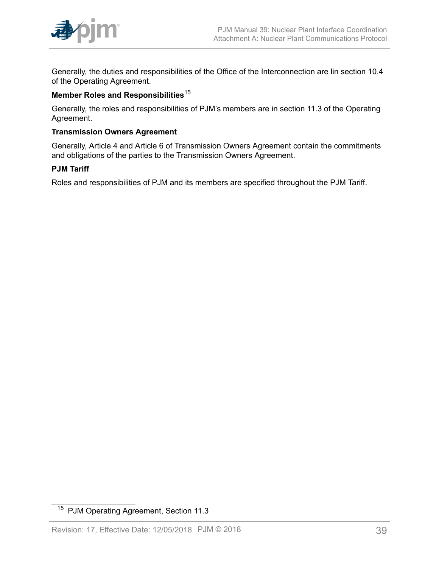

Generally, the duties and responsibilities of the Office of the Interconnection are lin section 10.4 of the Operating Agreement.

#### **Member Roles and Responsibilities**<sup>15</sup>

Generally, the roles and responsibilities of PJM's members are in section 11.3 of the Operating Agreement.

#### **Transmission Owners Agreement**

Generally, Article 4 and Article 6 of Transmission Owners Agreement contain the commitments and obligations of the parties to the Transmission Owners Agreement.

#### **PJM Tariff**

Roles and responsibilities of PJM and its members are specified throughout the PJM Tariff.

<sup>15</sup> PJM Operating Agreement, Section 11.3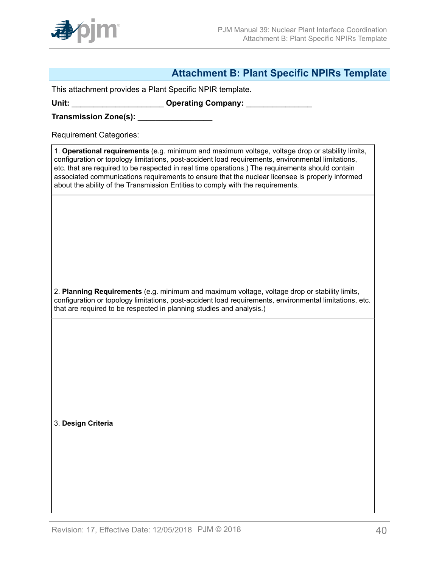

## <span id="page-39-0"></span>**Attachment B: Plant Specific NPIRs Template**

This attachment provides a Plant Specific NPIR template.

Unit: **With Lines and Science Company: Operating Company: Company: Company: Company: Company: Company: Company: Company: Company: Company: Company: Company: Company: Company: Company: Compan** 

**Transmission Zone(s):** \_\_\_\_\_\_\_\_\_\_\_\_\_\_\_\_\_

Requirement Categories:

1. **Operational requirements** (e.g. minimum and maximum voltage, voltage drop or stability limits, configuration or topology limitations, post-accident load requirements, environmental limitations, etc. that are required to be respected in real time operations.) The requirements should contain associated communications requirements to ensure that the nuclear licensee is properly informed about the ability of the Transmission Entities to comply with the requirements.

2. **Planning Requirements** (e.g. minimum and maximum voltage, voltage drop or stability limits, configuration or topology limitations, post-accident load requirements, environmental limitations, etc. that are required to be respected in planning studies and analysis.)

3. **Design Criteria**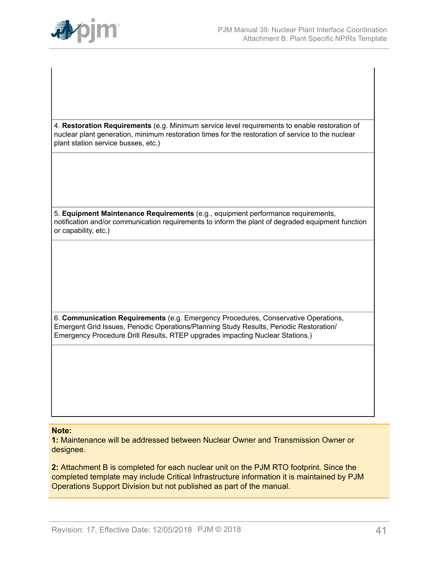

4. **Restoration Requirements** (e.g. Minimum service level requirements to enable restoration of nuclear plant generation, minimum restoration times for the restoration of service to the nuclear plant station service busses, etc.)

5. **Equipment Maintenance Requirements** (e.g., equipment performance requirements, notification and/or communication requirements to inform the plant of degraded equipment function or capability, etc.)

6. **Communication Requirements** (e.g. Emergency Procedures, Conservative Operations, Emergent Grid Issues, Periodic Operations/Planning Study Results, Periodic Restoration/ Emergency Procedure Drill Results, RTEP upgrades impacting Nuclear Stations.)

#### **Note:**

**1:** Maintenance will be addressed between Nuclear Owner and Transmission Owner or designee.

**2:** Attachment B is completed for each nuclear unit on the PJM RTO footprint. Since the completed template may include Critical Infrastructure information it is maintained by PJM Operations Support Division but not published as part of the manual.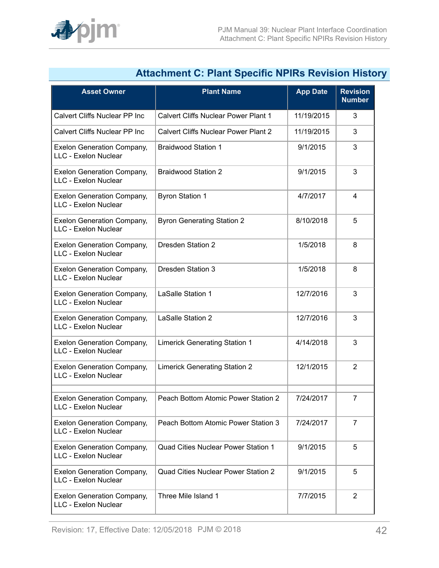

|                                                           | Allachment C. Fiant Opecnic INFINS Nevision mistor |                 |                                  |
|-----------------------------------------------------------|----------------------------------------------------|-----------------|----------------------------------|
| <b>Asset Owner</b>                                        | <b>Plant Name</b>                                  | <b>App Date</b> | <b>Revision</b><br><b>Number</b> |
| Calvert Cliffs Nuclear PP Inc                             | <b>Calvert Cliffs Nuclear Power Plant 1</b>        | 11/19/2015      | 3                                |
| Calvert Cliffs Nuclear PP Inc                             | <b>Calvert Cliffs Nuclear Power Plant 2</b>        | 11/19/2015      | 3                                |
| <b>Exelon Generation Company,</b><br>LLC - Exelon Nuclear | <b>Braidwood Station 1</b>                         | 9/1/2015        | 3                                |
| <b>Exelon Generation Company,</b><br>LLC - Exelon Nuclear | <b>Braidwood Station 2</b>                         | 9/1/2015        | 3                                |
| Exelon Generation Company,<br>LLC - Exelon Nuclear        | <b>Byron Station 1</b>                             | 4/7/2017        | $\overline{4}$                   |
| Exelon Generation Company,<br>LLC - Exelon Nuclear        | <b>Byron Generating Station 2</b>                  | 8/10/2018       | 5                                |
| <b>Exelon Generation Company,</b><br>LLC - Exelon Nuclear | <b>Dresden Station 2</b>                           | 1/5/2018        | 8                                |
| Exelon Generation Company,<br>LLC - Exelon Nuclear        | Dresden Station 3                                  | 1/5/2018        | 8                                |
| <b>Exelon Generation Company,</b><br>LLC - Exelon Nuclear | LaSalle Station 1                                  | 12/7/2016       | 3                                |
| Exelon Generation Company,<br>LLC - Exelon Nuclear        | <b>LaSalle Station 2</b>                           | 12/7/2016       | 3                                |
| <b>Exelon Generation Company,</b><br>LLC - Exelon Nuclear | <b>Limerick Generating Station 1</b>               | 4/14/2018       | 3                                |
| <b>Exelon Generation Company,</b><br>LLC - Exelon Nuclear | <b>Limerick Generating Station 2</b>               | 12/1/2015       | $\overline{2}$                   |
| <b>Exelon Generation Company,</b><br>LLC - Exelon Nuclear | Peach Bottom Atomic Power Station 2                | 7/24/2017       | 7                                |
| Exelon Generation Company,<br>LLC - Exelon Nuclear        | Peach Bottom Atomic Power Station 3                | 7/24/2017       | $\overline{7}$                   |
| Exelon Generation Company,<br>LLC - Exelon Nuclear        | Quad Cities Nuclear Power Station 1                | 9/1/2015        | 5                                |
| <b>Exelon Generation Company,</b><br>LLC - Exelon Nuclear | Quad Cities Nuclear Power Station 2                | 9/1/2015        | 5                                |
| <b>Exelon Generation Company,</b><br>LLC - Exelon Nuclear | Three Mile Island 1                                | 7/7/2015        | $\overline{2}$                   |

# <span id="page-41-0"></span>**Attachment C: Plant Specific NPIRs Revision History**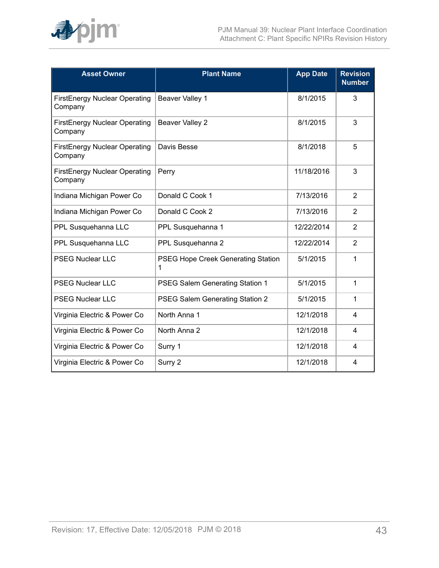

| <b>Asset Owner</b>                              | <b>Plant Name</b>                       | <b>App Date</b> | <b>Revision</b><br><b>Number</b> |
|-------------------------------------------------|-----------------------------------------|-----------------|----------------------------------|
| <b>FirstEnergy Nuclear Operating</b><br>Company | Beaver Valley 1                         | 8/1/2015        | 3                                |
| <b>FirstEnergy Nuclear Operating</b><br>Company | Beaver Valley 2                         | 8/1/2015        | 3                                |
| FirstEnergy Nuclear Operating<br>Company        | Davis Besse                             | 8/1/2018        | 5                                |
| FirstEnergy Nuclear Operating<br>Company        | Perry                                   | 11/18/2016      | 3                                |
| Indiana Michigan Power Co                       | Donald C Cook 1                         | 7/13/2016       | $\overline{2}$                   |
| Indiana Michigan Power Co                       | Donald C Cook 2                         | 7/13/2016       | 2                                |
| PPL Susquehanna LLC                             | PPL Susquehanna 1                       | 12/22/2014      | 2                                |
| PPL Susquehanna LLC                             | PPL Susquehanna 2                       | 12/22/2014      | 2                                |
| <b>PSEG Nuclear LLC</b>                         | PSEG Hope Creek Generating Station<br>1 | 5/1/2015        | 1                                |
| <b>PSEG Nuclear LLC</b>                         | PSEG Salem Generating Station 1         | 5/1/2015        | 1                                |
| <b>PSEG Nuclear LLC</b>                         | PSEG Salem Generating Station 2         | 5/1/2015        | 1                                |
| Virginia Electric & Power Co                    | North Anna 1                            | 12/1/2018       | 4                                |
| Virginia Electric & Power Co                    | North Anna 2                            | 12/1/2018       | 4                                |
| Virginia Electric & Power Co                    | Surry 1                                 | 12/1/2018       | 4                                |
| Virginia Electric & Power Co                    | Surry 2                                 | 12/1/2018       | 4                                |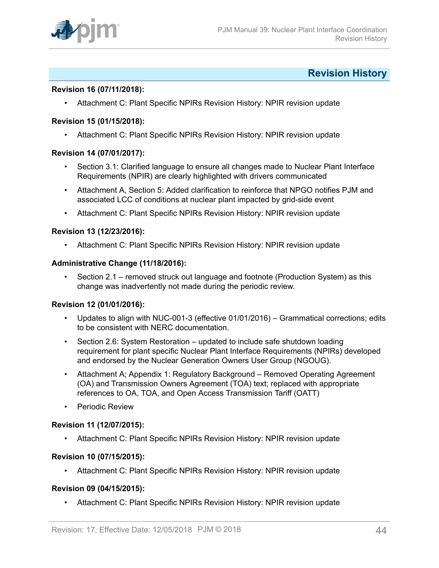

### <span id="page-43-0"></span>**Revision History**

#### **Revision 16 (07/11/2018):**

• Attachment C: Plant Specific NPIRs Revision History: NPIR revision update

#### **Revision 15 (01/15/2018):**

• Attachment C: Plant Specific NPIRs Revision History: NPIR revision update

#### **Revision 14 (07/01/2017):**

- Section 3.1: Clarified language to ensure all changes made to Nuclear Plant Interface Requirements (NPIR) are clearly highlighted with drivers communicated
- Attachment A, Section 5: Added clarification to reinforce that NPGO notifies PJM and associated LCC of conditions at nuclear plant impacted by grid-side event
- Attachment C: Plant Specific NPIRs Revision History: NPIR revision update

#### **Revision 13 (12/23/2016):**

• Attachment C: Plant Specific NPIRs Revision History: NPIR revision update

#### **Administrative Change (11/18/2016):**

• Section 2.1 – removed struck out language and footnote (Production System) as this change was inadvertently not made during the periodic review.

#### **Revision 12 (01/01/2016):**

- Updates to align with NUC-001-3 (effective 01/01/2016) Grammatical corrections; edits to be consistent with NERC documentation.
- Section 2.6: System Restoration updated to include safe shutdown loading requirement for plant specific Nuclear Plant Interface Requirements (NPIRs) developed and endorsed by the Nuclear Generation Owners User Group (NGOUG).
- Attachment A; Appendix 1: Regulatory Background Removed Operating Agreement (OA) and Transmission Owners Agreement (TOA) text; replaced with appropriate references to OA, TOA, and Open Access Transmission Tariff (OATT)
- Periodic Review

#### **Revision 11 (12/07/2015):**

• Attachment C: Plant Specific NPIRs Revision History: NPIR revision update

#### **Revision 10 (07/15/2015):**

• Attachment C: Plant Specific NPIRs Revision History: NPIR revision update

#### **Revision 09 (04/15/2015):**

• Attachment C: Plant Specific NPIRs Revision History: NPIR revision update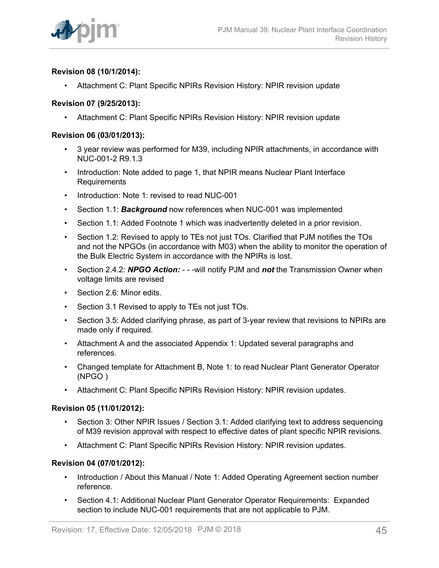

#### **Revision 08 (10/1/2014):**

• Attachment C: Plant Specific NPIRs Revision History: NPIR revision update

#### **Revision 07 (9/25/2013):**

• Attachment C: Plant Specific NPIRs Revision History: NPIR revision update

#### **Revision 06 (03/01/2013):**

- 3 year review was performed for M39, including NPIR attachments, in accordance with NUC-001-2 R9.1.3
- Introduction: Note added to page 1, that NPIR means Nuclear Plant Interface Requirements
- Introduction: Note 1: revised to read NUC-001
- Section 1.1: *Background* now references when NUC-001 was implemented
- Section 1.1: Added Footnote 1 which was inadvertently deleted in a prior revision.
- Section 1.2: Revised to apply to TEs not just TOs. Clarified that PJM notifies the TOs and not the NPGOs (in accordance with M03) when the ability to monitor the operation of the Bulk Electric System in accordance with the NPIRs is lost.
- Section 2.4.2: *NPGO Action:*  - -will notify PJM and *not* the Transmission Owner when voltage limits are revised
- Section 2.6: Minor edits.
- Section 3.1 Revised to apply to TEs not just TOs.
- Section 3.5: Added clarifying phrase, as part of 3-year review that revisions to NPIRs are made only if required.
- Attachment A and the associated Appendix 1: Updated several paragraphs and references.
- Changed template for Attachment B, Note 1: to read Nuclear Plant Generator Operator (NPGO )
- Attachment C: Plant Specific NPIRs Revision History: NPIR revision updates.

#### **Revision 05 (11/01/2012):**

- Section 3: Other NPIR Issues / Section 3.1: Added clarifying text to address sequencing of M39 revision approval with respect to effective dates of plant specific NPIR revisions.
- Attachment C: Plant Specific NPIRs Revision History: NPIR revision updates.

#### **Revision 04 (07/01/2012):**

- Introduction / About this Manual / Note 1: Added Operating Agreement section number reference.
- Section 4.1: Additional Nuclear Plant Generator Operator Requirements: Expanded section to include NUC-001 requirements that are not applicable to PJM.